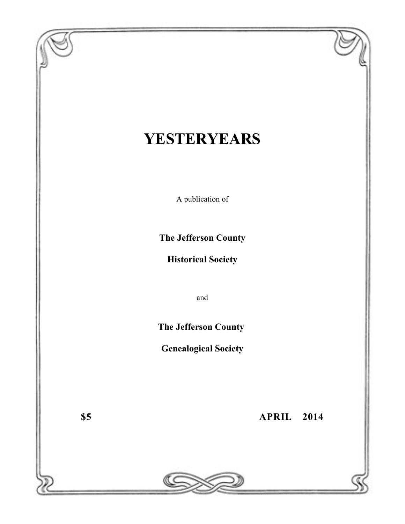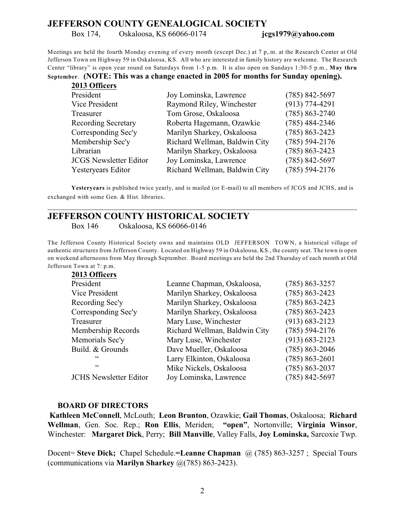# **JEFFERSON COUNTY GENEALOGICAL SOCIETY**

Box 174, Oskaloosa, KS 66066-0174 **jcgs1979@yahoo.com**

Meetings are held the fourth Monday evening of every month (except Dec.) at 7 p,.m. at the Research Center at Old Jefferson Town on Highway 59 in Oskaloosa, KS. All who are interested in family history are welcome. The Research Center "library" is open year round on Saturdays from 1-5 p.m. It is also open on Sundays 1:30-5 p.m., **May thru**

**September**. **(NOTE: This was a change enacted in 2005 for months for Sunday opening).**

| 2013 Officers                 |                               |                    |
|-------------------------------|-------------------------------|--------------------|
| President                     | Joy Lominska, Lawrence        | $(785) 842 - 5697$ |
| Vice President                | Raymond Riley, Winchester     | $(913) 774 - 4291$ |
| Treasurer                     | Tom Grose, Oskaloosa          | $(785) 863 - 2740$ |
| <b>Recording Secretary</b>    | Roberta Hagemann, Ozawkie     | $(785)$ 484-2346   |
| Corresponding Sec'y           | Marilyn Sharkey, Oskaloosa    | $(785) 863 - 2423$ |
| Membership Sec'y              | Richard Wellman, Baldwin City | $(785) 594 - 2176$ |
| Librarian                     | Marilyn Sharkey, Oskaloosa    | $(785) 863 - 2423$ |
| <b>JCGS</b> Newsletter Editor | Joy Lominska, Lawrence        | $(785) 842 - 5697$ |
| Yesteryears Editor            | Richard Wellman, Baldwin City | $(785) 594 - 2176$ |

**Yesteryears** is published twice yearly, and is mailed (or E-mail) to all members of JCGS and JCHS, and is exchanged with some Gen. & Hist. libraries.

\_\_\_\_\_\_\_\_\_\_\_\_\_\_\_\_\_\_\_\_\_\_\_\_\_\_\_\_\_\_\_\_\_\_\_\_\_\_\_\_\_\_\_\_\_\_\_\_\_\_\_\_\_\_\_\_\_\_\_\_\_\_\_\_\_\_\_\_\_\_\_\_\_\_\_\_\_\_

# **JEFFERSON COUNTY HISTORICAL SOCIETY**

Box 146 Oskaloosa, KS 66066-0146

The Jefferson County Historical Society owns and maintains OLD JEFFERSON TOWN, a historical village of authentic structures from Jefferson County. Located on Highway 59 in Oskaloosa, KS., the county seat. The town is open on weekend afternoons from May through September. Board meetings are held the 2nd Thursday of each month at Old Jefferson Town at 7: p.m.

| Leanne Chapman, Oskaloosa,    | $(785) 863 - 3257$ |
|-------------------------------|--------------------|
| Marilyn Sharkey, Oskaloosa    | $(785) 863 - 2423$ |
| Marilyn Sharkey, Oskaloosa    | $(785) 863 - 2423$ |
| Marilyn Sharkey, Oskaloosa    | $(785) 863 - 2423$ |
| Mary Luse, Winchester         | $(913) 683 - 2123$ |
| Richard Wellman, Baldwin City | $(785) 594 - 2176$ |
| Mary Luse, Winchester         | $(913) 683 - 2123$ |
| Dave Mueller, Oskaloosa       | $(785) 863 - 2046$ |
| Larry Elkinton, Oskaloosa     | $(785) 863 - 2601$ |
| Mike Nickels, Oskaloosa       | $(785) 863 - 2037$ |
| Joy Lominska, Lawrence        | $(785) 842 - 5697$ |
|                               |                    |

#### **BOARD OF DIRECTORS**

**2013 Officers**

**Kathleen McConnell**, McLouth; **Leon Brunton**, Ozawkie; **Gail Thomas**, Oskaloosa; **Richard Wellman**, Gen. Soc. Rep.; **Ron Ellis**, Meriden; **"open"**, Nortonville; **Virginia Winsor**, Winchester: **Margaret Dick**, Perry; **Bill Manville**, Valley Falls, **Joy Lominska,** Sarcoxie Twp.

Docent= **Steve Dick;** Chapel Schedule.**=Leanne Chapman** @ (785) 863-3257 ; Special Tours (communications via **Marilyn Sharkey** @(785) 863-2423).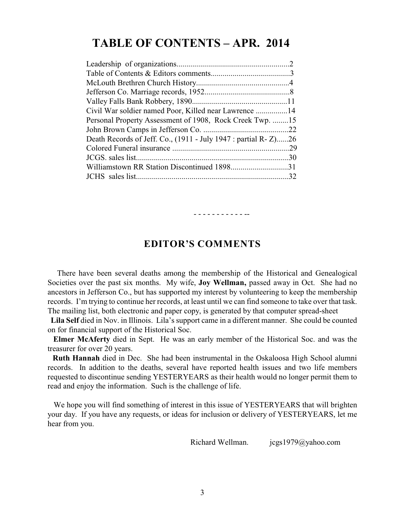# **TABLE OF CONTENTS – APR. 2014**

| Personal Property Assessment of 1908, Rock Creek Twp. 15       |  |
|----------------------------------------------------------------|--|
|                                                                |  |
| Death Records of Jeff. Co., (1911 - July 1947 : partial R-Z)26 |  |
|                                                                |  |
|                                                                |  |
| Williamstown RR Station Discontinued 189831                    |  |
|                                                                |  |
|                                                                |  |

# **EDITOR'S COMMENTS**

- - - - - - - - - - - --

 There have been several deaths among the membership of the Historical and Genealogical Societies over the past six months. My wife, **Joy Wellman,** passed away in Oct. She had no ancestors in Jefferson Co., but has supported my interest by volunteering to keep the membership records. I'm trying to continue her records, at least until we can find someone to take over that task. The mailing list, both electronic and paper copy, is generated by that computer spread-sheet

 **Lila Self** died in Nov. in Illinois. Lila's support came in a different manner. She could be counted on for financial support of the Historical Soc.

 **Elmer McAferty** died in Sept. He was an early member of the Historical Soc. and was the treasurer for over 20 years.

 **Ruth Hannah** died in Dec. She had been instrumental in the Oskaloosa High School alumni records. In addition to the deaths, several have reported health issues and two life members requested to discontinue sending YESTERYEARS as their health would no longer permit them to read and enjoy the information. Such is the challenge of life.

We hope you will find something of interest in this issue of YESTERYEARS that will brighten your day. If you have any requests, or ideas for inclusion or delivery of YESTERYEARS, let me hear from you.

Richard Wellman. jcgs1979@yahoo.com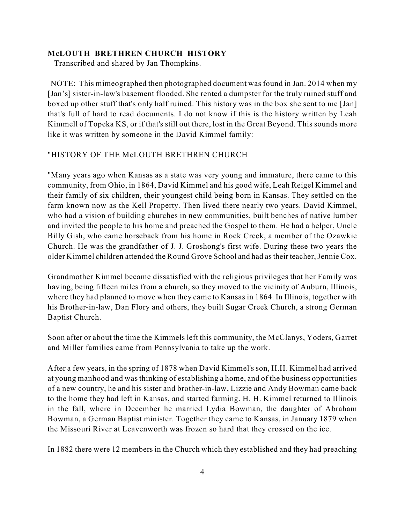#### **McLOUTH BRETHREN CHURCH HISTORY**

Transcribed and shared by Jan Thompkins.

 NOTE: This mimeographed then photographed document was found in Jan. 2014 when my [Jan's] sister-in-law's basement flooded. She rented a dumpster for the truly ruined stuff and boxed up other stuff that's only half ruined. This history was in the box she sent to me [Jan] that's full of hard to read documents. I do not know if this is the history written by Leah Kimmell of Topeka KS, or if that's still out there, lost in the Great Beyond. This sounds more like it was written by someone in the David Kimmel family:

#### "HISTORY OF THE McLOUTH BRETHREN CHURCH

"Many years ago when Kansas as a state was very young and immature, there came to this community, from Ohio, in 1864, David Kimmel and his good wife, Leah Reigel Kimmel and their family of six children, their youngest child being born in Kansas. They settled on the farm known now as the Kell Property. Then lived there nearly two years. David Kimmel, who had a vision of building churches in new communities, built benches of native lumber and invited the people to his home and preached the Gospel to them. He had a helper, Uncle Billy Gish, who came horseback from his home in Rock Creek, a member of the Ozawkie Church. He was the grandfather of J. J. Groshong's first wife. During these two years the older Kimmel children attended the Round Grove School and had as their teacher, Jennie Cox.

Grandmother Kimmel became dissatisfied with the religious privileges that her Family was having, being fifteen miles from a church, so they moved to the vicinity of Auburn, Illinois, where they had planned to move when they came to Kansas in 1864. In Illinois, together with his Brother-in-law, Dan Flory and others, they built Sugar Creek Church, a strong German Baptist Church.

Soon after or about the time the Kimmels left this community, the McClanys, Yoders, Garret and Miller families came from Pennsylvania to take up the work.

After a few years, in the spring of 1878 when David Kimmel's son, H.H. Kimmel had arrived at young manhood and was thinking of establishing a home, and of the business opportunities of a new country, he and his sister and brother-in-law, Lizzie and Andy Bowman came back to the home they had left in Kansas, and started farming. H. H. Kimmel returned to Illinois in the fall, where in December he married Lydia Bowman, the daughter of Abraham Bowman, a German Baptist minister. Together they came to Kansas, in January 1879 when the Missouri River at Leavenworth was frozen so hard that they crossed on the ice.

In 1882 there were 12 members in the Church which they established and they had preaching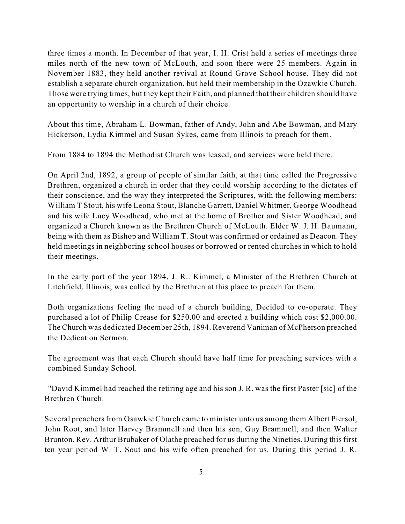three times a month. In December of that year, I. H. Crist held a series of meetings three miles north of the new town of McLouth, and soon there were 25 members. Again in November 1883, they held another revival at Round Grove School house. They did not establish a separate church organization, but held their membership in the Ozawkie Church. Those were trying times, but they kept their Faith, and planned that their children should have an opportunity to worship in a church of their choice.

About this time, Abraham L. Bowman, father of Andy, John and Abe Bowman, and Mary Hickerson, Lydia Kimmel and Susan Sykes, came from Illinois to preach for them.

From 1884 to 1894 the Methodist Church was leased, and services were held there.

On April 2nd, 1892, a group of people of similar faith, at that time called the Progressive Brethren, organized a church in order that they could worship according to the dictates of their conscience, and the way they interpreted the Scriptures, with the following members: William T Stout, his wife Leona Stout, Blanche Garrett, Daniel Whitmer, George Woodhead and his wife Lucy Woodhead, who met at the home of Brother and Sister Woodhead, and organized a Church known as the Brethren Church of McLouth. Elder W. J. H. Baumann, being with them as Bishop and William T. Stout was confirmed or ordained as Deacon. They held meetings in neighboring school houses or borrowed or rented churches in which to hold their meetings.

In the early part of the year 1894, J. R.. Kimmel, a Minister of the Brethren Church at Litchfield, Illinois, was called by the Brethren at this place to preach for them.

Both organizations feeling the need of a church building, Decided to co-operate. They purchased a lot of Philip Crease for \$250.00 and erected a building which cost \$2,000.00. The Church was dedicated December 25th, 1894. Reverend Vaniman of McPherson preached the Dedication Sermon.

The agreement was that each Church should have half time for preaching services with a combined Sunday School.

 "David Kimmel had reached the retiring age and his son J. R. was the first Paster [sic] of the Brethren Church.

Several preachers from Osawkie Church came to minister unto us among them Albert Piersol, John Root, and later Harvey Brammell and then his son, Guy Brammell, and then Walter Brunton. Rev. Arthur Brubaker of Olathe preached for us during the Nineties. During this first ten year period W. T. Sout and his wife often preached for us. During this period J. R.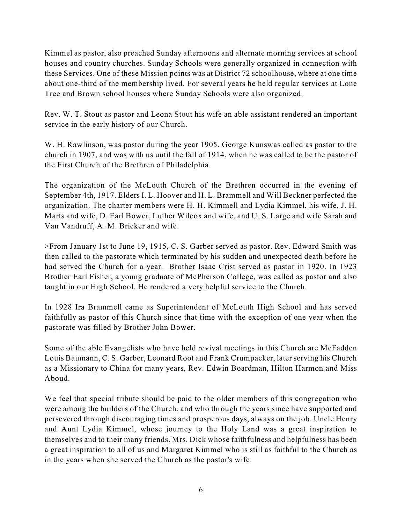Kimmel as pastor, also preached Sunday afternoons and alternate morning services at school houses and country churches. Sunday Schools were generally organized in connection with these Services. One of these Mission points was at District 72 schoolhouse, where at one time about one-third of the membership lived. For several years he held regular services at Lone Tree and Brown school houses where Sunday Schools were also organized.

Rev. W. T. Stout as pastor and Leona Stout his wife an able assistant rendered an important service in the early history of our Church.

W. H. Rawlinson, was pastor during the year 1905. George Kunswas called as pastor to the church in 1907, and was with us until the fall of 1914, when he was called to be the pastor of the First Church of the Brethren of Philadelphia.

The organization of the McLouth Church of the Brethren occurred in the evening of September 4th, 1917. Elders I. L. Hoover and H. L. Brammell and Will Beckner perfected the organization. The charter members were H. H. Kimmell and Lydia Kimmel, his wife, J. H. Marts and wife, D. Earl Bower, Luther Wilcox and wife, and U. S. Large and wife Sarah and Van Vandruff, A. M. Bricker and wife.

>From January 1st to June 19, 1915, C. S. Garber served as pastor. Rev. Edward Smith was then called to the pastorate which terminated by his sudden and unexpected death before he had served the Church for a year. Brother Isaac Crist served as pastor in 1920. In 1923 Brother Earl Fisher, a young graduate of McPherson College, was called as pastor and also taught in our High School. He rendered a very helpful service to the Church.

In 1928 Ira Brammell came as Superintendent of McLouth High School and has served faithfully as pastor of this Church since that time with the exception of one year when the pastorate was filled by Brother John Bower.

Some of the able Evangelists who have held revival meetings in this Church are McFadden Louis Baumann, C. S. Garber, Leonard Root and Frank Crumpacker, later serving his Church as a Missionary to China for many years, Rev. Edwin Boardman, Hilton Harmon and Miss Aboud.

We feel that special tribute should be paid to the older members of this congregation who were among the builders of the Church, and who through the years since have supported and persevered through discouraging times and prosperous days, always on the job. Uncle Henry and Aunt Lydia Kimmel, whose journey to the Holy Land was a great inspiration to themselves and to their many friends. Mrs. Dick whose faithfulness and helpfulness has been a great inspiration to all of us and Margaret Kimmel who is still as faithful to the Church as in the years when she served the Church as the pastor's wife.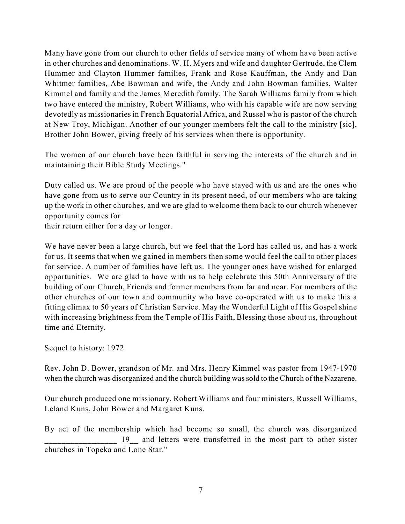Many have gone from our church to other fields of service many of whom have been active in other churches and denominations. W. H. Myers and wife and daughter Gertrude, the Clem Hummer and Clayton Hummer families, Frank and Rose Kauffman, the Andy and Dan Whitmer families, Abe Bowman and wife, the Andy and John Bowman families, Walter Kimmel and family and the James Meredith family. The Sarah Williams family from which two have entered the ministry, Robert Williams, who with his capable wife are now serving devotedly as missionaries in French Equatorial Africa, and Russel who is pastor of the church at New Troy, Michigan. Another of our younger members felt the call to the ministry [sic], Brother John Bower, giving freely of his services when there is opportunity.

The women of our church have been faithful in serving the interests of the church and in maintaining their Bible Study Meetings."

Duty called us. We are proud of the people who have stayed with us and are the ones who have gone from us to serve our Country in its present need, of our members who are taking up the work in other churches, and we are glad to welcome them back to our church whenever opportunity comes for

their return either for a day or longer.

We have never been a large church, but we feel that the Lord has called us, and has a work for us. It seems that when we gained in members then some would feel the call to other places for service. A number of families have left us. The younger ones have wished for enlarged opportunities. We are glad to have with us to help celebrate this 50th Anniversary of the building of our Church, Friends and former members from far and near. For members of the other churches of our town and community who have co-operated with us to make this a fitting climax to 50 years of Christian Service. May the Wonderful Light of His Gospel shine with increasing brightness from the Temple of His Faith, Blessing those about us, throughout time and Eternity.

Sequel to history: 1972

Rev. John D. Bower, grandson of Mr. and Mrs. Henry Kimmel was pastor from 1947-1970 when the church was disorganized and the church building was sold to the Church of the Nazarene.

Our church produced one missionary, Robert Williams and four ministers, Russell Williams, Leland Kuns, John Bower and Margaret Kuns.

By act of the membership which had become so small, the church was disorganized 19<sub>\_</sub> and letters were transferred in the most part to other sister churches in Topeka and Lone Star."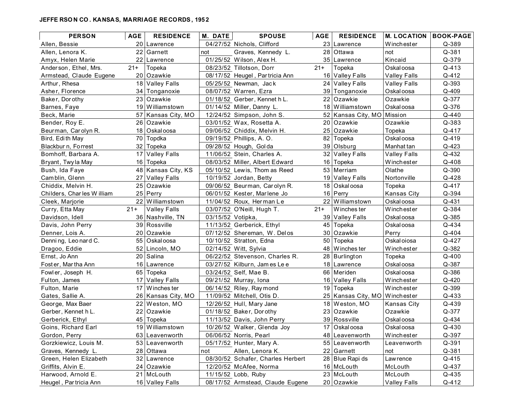#### **JEFFE RSO N CO . KANSAS, MARRIAGE RECORDS, 195 2**

| <b>PERSON</b>             | <b>AGE</b> | <b>RESIDENCE</b>     | <b>M. DATE</b>    | <b>SPOUSE</b>                     | AGE   | <b>RESIDENCE</b>              | <b>M. LOCATION</b>  | <b>BOOK-PAGE</b> |
|---------------------------|------------|----------------------|-------------------|-----------------------------------|-------|-------------------------------|---------------------|------------------|
| Allen, Bessie             |            | 20 Lawrence          |                   | 04/27/52 Nichols, Clifford        |       | 23 Lawrence                   | Winchester          | $Q - 389$        |
| Allen, Lenora K.          | 22         | Garnett              | not               | Graves, Kennedy L.                |       | 28 Ottawa                     | not                 | Q-381            |
| Amyx, Helen Marie         | 22         | Lawrence             |                   | 01/25/52 Wilson, Alex H.          |       | 35 Lawrence                   | Kincaid             | Q-379            |
| Anderson, Ethel, Mrs.     | $21+$      | Topeka               |                   | 08/23/52 Tillotson, Dorr          | $21+$ | Topeka                        | Oskal oosa          | $Q - 413$        |
| Armstead, Claude Eugene   |            | 20 Ozawkie           |                   | 08/17/52 Heugel, Partricia Ann    |       | 16 Valley Falls               | <b>Valley Falls</b> | Q-412            |
| Arthur, Rhesa             | 18         | <b>Valley Falls</b>  |                   | 05/25/52 Newman, Jack             |       | 24 Valley Falls               | <b>Valley Falls</b> | Q-393            |
| Asher, Florence           | 34         | Tonganoxie           |                   | 08/07/52 Warren, Ezra             |       | 39 Tonganoxie                 | Oskal oosa          | $Q - 409$        |
| Baker, Dorothy            | 23         | Ozawkie              |                   | 01/18/52 Gerber, Kennet h L.      |       | 22 Ozawkie                    | Ozawkie             | Q-377            |
| Barnes, Faye              |            | 19 Williamstown      |                   | 01/14/52 Miller, Danny L.         | 18    | Williamstown                  | Oskal oosa          | Q-376            |
| Beck, Marie               |            | 57   Kansas City, MO |                   | 12/24/52 Simpson, John S.         |       | 52 Kansas City, MO Mission    |                     | Q-440            |
| Bender, Roy E.            | 26         | Ozawkie              |                   | 03/01/52 Wax, Rosetta A.          |       | 20 Ozawkie                    | Ozawkie             | Q-383            |
| Beurman, Carolyn R.       | 18         | Oskal oosa           |                   | 09/06/52 Chiddix, Melvin H.       |       | 25 Ozawkie                    | Topeka              | Q-417            |
| Bird, Edith May           | 70         | Topdka               |                   | 09/19/52 Phillips, A. O.          | 82    | Topeka                        | Oskal oosa          | Q-419            |
| Blackbur n, Forrest       | 32         | Topeka               |                   | 09/28/52 Hough, Golda             |       | 39 Olsburg                    | Manhat tan          | Q-423            |
| Bomhoff, Barbara A.       |            | 17 Valley Falls      |                   | 11/06/52 Stein, Charles A.        |       | 32 Valley Falls               | <b>Valley Falls</b> | Q-432            |
| Bryant, Twyla May         |            | 16 Topeka            |                   | 08/03/52 Miller, Albert Edward    | 16    | Topeka                        | Winchester          | Q-408            |
| Bush, Ida Faye            |            | 48 Kansas City, KS   |                   | 05/10/52 Lewis, Thom as Reed      |       | 53 Merriam                    | Olathe              | Q-390            |
| Camblin, Glenn            | 27         | <b>Valley Falls</b>  |                   | 10/19/52 Jordan, Betty            | 19    | Valley Falls                  | Nortonville         | Q-428            |
| Chiddix, Melvin H.        |            | 25 Ozawkie           |                   | 09/06/52 Beurman, Carolyn R.      | 18    | Oskal oosa                    | Topeka              | Q-417            |
| Childers, Charles William |            | 25 Perry             |                   | 06/01/52 Kester, Marlene Jo       | 16    | Perry                         | Kansas City         | Q-394            |
| Cleek, Marjorie           |            | 22 Williamstown      |                   | 11/04/52 Roux, Herman Le          |       | 22 Williamstown               | Oskal oosa          | Q-431            |
| Curry, Etta May           | $21+$      | Valley Falls         |                   | 03/07/52 O'Neill, Hugh T.         | $21+$ | Winches ter                   | Winchester          | Q-384            |
| Davidson, Idell           |            | 36 Nashville, TN     | 03/15/52 Votipka, |                                   |       | 39 Valley Falls               | Oskal oosa          | Q-385            |
| Davis, John Perry         |            | 39 Rossville         |                   | 11/13/52 Gerberick, Ethyl         | 45    | Topeka                        | Oskal oosa          | Q-434            |
| Denner, Lois A.           |            | 20 Ozawkie           |                   | 07/12/52 Shereman, W. Delos       | 30    | Ozawkie                       | Perry               | Q-404            |
| Denning, Leonard C.       |            | 55 Oskal oosa        |                   | 10/10/52 Stratton, Edna           | 50    | Topeka                        | Oskal oiosa         | Q-427            |
| Dragoo, Eddie             |            | 52 Lincoln, MO       |                   | 02/14/52 Witt, Sylvia             | 48    | Winches ter                   | Winchester          | Q-382            |
| Ernst, Jo Ann             | 20         | Salina               |                   | 06/22/52 Stevenson, Charles R.    | 28    | Burlington                    | Topeka              | $Q - 400$        |
| Foster, Martha Ann        |            | 16 Lawrence          |                   | 03/27/52 Kilburn, James Lee       |       | 18 Lawrence                   | Oskal oosa          | Q-387            |
| Fowler, Joseph H.         | 65         | Topeka               |                   | 03/24/52 Self, Mae B.             | 66    | Meriden                       | Oskal oosa          | Q-386            |
| Fulton, James             | 17         | <b>Valley Falls</b>  |                   | 09/21/52 Murray, Iona             | 16    | Valley Falls                  | Winchester          | Q-420            |
| Fulton, Marie             | 17         | Winches ter          |                   | 06/14/52 Riley, Raymond           | 19    | Topeka                        | Winchester          | Q-399            |
| Gates, Sallie A.          |            | 26 Kansas City, MO   |                   | 11/09/52 Mitchell, Otis D.        |       | 25 Kansas City, MO Winchester |                     | Q-433            |
| George, Max Baer          | 22         | Weston, MO           |                   | 12/26/52 Hull, Mary Jane          | 18    | Weston, MO                    | <b>Kansas City</b>  | Q-439            |
| Gerber, Kennet h L.       | 22         | Ozawkie              |                   | 01/18/52 Baker, Dorothy           |       | 23 Ozawkie                    | Ozawkie             | Q-377            |
| Gerberick, Ethyl          |            | 45 Topeka            |                   | 11/13/52 Davis, John Perry        |       | 39 Rossville                  | Oskal oosa          | Q-434            |
| Goins, Richard Earl       |            | 19 Williamstown      |                   | 10/26/52 Walker, Glenda Joy       |       | 17 Oskaloosa                  | Oskal oosa          | $Q - 430$        |
| Gordon, Perry             |            | 63 Leavenworth       |                   | 06/06/52 Norris, Pearl            |       | 48 Leavenworth                | Winchester          | Q-397            |
| Gorzkiewicz, Louis M.     |            | 53 Leavenworth       |                   | 05/17/52 Hunter, Mary A.          |       | 55 Leavenworth                | Leavenworth         | Q-391            |
| Graves, Kennedy L.        |            | 28 Ottawa            | not               | Allen, Lenora K.                  |       | 22 Garnett                    | not                 | Q-381            |
| Green, Helen Elizabeth    |            | 32 Lawrence          |                   | 08/30/52 Schafer, Charles Herbert |       | 28 Blue Rapi ds               | Lawrence            | Q-415            |
| Griffits, Alvin E.        |            | 24 Ozawkie           |                   | 12/20/52 McAfee, Norma            |       | 16 McLouth                    | McLouth             | Q-437            |
| Harwood, Arnold E.        |            | 21 McLouth           |                   | 11/15/52 Lobb, Ruby               |       | 23 McLouth                    | McLouth             | Q-435            |
| Heugel, Partricia Ann     |            | 16 Valley Falls      |                   | 08/17/52 Armstead, Claude Eugene  |       | 20 Ozawkie                    | <b>Valley Falls</b> | Q-412            |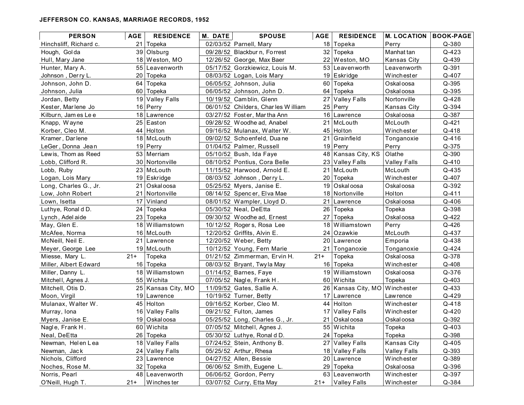#### **JEFFERSON CO. KANSAS, MARRIAGE RECORDS, 1952**

| <b>PERSON</b>          | <b>AGE</b> | <b>RESIDENCE</b>   | <b>M. DATE</b> | <b>SPOUSE</b>                      | AGE   | <b>RESIDENCE</b>              | <b>M. LOCATION</b>  | <b>BOOK-PAGE</b> |
|------------------------|------------|--------------------|----------------|------------------------------------|-------|-------------------------------|---------------------|------------------|
| Hinchsliff, Richard c. |            | 21 Topeka          |                | 02/03/52 Parnell, Mary             |       | 18 Topeka                     | Perry               | Q-380            |
| Hough, Golda           |            | 39 Olsburg         |                | 09/28/52 Blackbur n, Forrest       |       | 32 Topeka                     | Manhat tan          | Q-423            |
| Hull, Mary Jane        |            | 18 Weston, MO      |                | 12/26/52 George, Max Baer          |       | 22 Weston, MO                 | Kansas City         | Q-439            |
| Hunter, Mary A.        |            | 55 Leavenworth     |                | 05/17/52 Gorzkiewicz, Louis M.     |       | 53 Leavenworth                | Leavenworth         | Q-391            |
| Johnson, Derry L.      |            | 20 Topeka          |                | 08/03/52 Logan, Lois Mary          |       | 19 Eskridge                   | Winchester          | Q-407            |
| Johnson, John D.       | 64         | Topeka             |                | 06/05/52 Johnson, Julia            |       | 60 Topeka                     | Oskal oosa          | Q-395            |
| Johnson, Julia         | 60 I       | Topeka             |                | 06/05/52 Johnson, John D.          | 64    | Topeka                        | Oskal oosa          | Q-395            |
| Jordan, Betty          |            | 19 Valley Falls    |                | 10/19/52 Camblin, Glenn            |       | 27 Valley Falls               | Nortonville         | Q-428            |
| Kester, Marlene Jo     |            | 16 Perry           |                | 06/01/52 Childers, Charles William |       | 25 Perry                      | Kansas City         | Q-394            |
| Kilburn, Jam es Le e   |            | 18 Lawrence        |                | 03/27/52 Foster, Martha Ann        |       | 16 Lawrence                   | Oskal oosa          | Q-387            |
| Knapp, Wayne           |            | 25 Easton          |                | 09/28/52 Woodhe ad, Anabel         |       | 21 McLouth                    | McLouth             | Q-421            |
| Korber, Cleo M.        |            | 44 Holton          |                | 09/16/52 Mulanax, Walter W.        |       | 45 Holton                     | Winchester          | Q-418            |
| Kramer, Darlene        |            | 18 McLouth         |                | 09/02/52 Schoenfeld, Duane         | 21    | Grainfield                    | Tonganoxie          | Q-416            |
| LeGer, Donna Jean      |            | $19$ Perry         |                | 01/04/52 Palmer, Russell           |       | 19 Perry                      | Perry               | Q-375            |
| Lewis, Thom as Reed    |            | 53   Merriam       |                | 05/10/52 Bush, Ida Faye            |       | 48 Kansas City, KS            | Olathe              | Q-390            |
| Lobb, Clifford R.      |            | 30 Nortonville     |                | 08/10/52 Pontius, Cora Belle       |       | 23 Valley Falls               | <b>Valley Falls</b> | Q-410            |
| Lobb, Ruby             |            | 23 McLouth         |                | 11/15/52 Harwood, Arnold E.        | 21    | McLouth                       | McLouth             | Q-435            |
| Logan, Lois Mary       |            | 19 Eskridge        |                | 08/03/52 Johnson, Derry L.         | 20    | Topeka                        | Winchester          | Q-407            |
| Long, Charles G., Jr.  | 21.        | Oskal oosa         |                | 05/25/52 Myers, Janise E.          | 19    | Oskal oosa                    | Oskal oosa          | Q-392            |
| Low, John Robert       |            | 21 Nortonville     |                | 08/14/52 Spencer, Elva Mae         |       | 18 Nortonville                | Holton              | Q-411            |
| Lown, Isetta           | 17         | Vinland            |                | 08/01/52 Wampler, Lloyd D.         |       | 21 Lawrence                   | Oskal oosa          | Q-406            |
| Luthye, Ronal d D.     |            | 24 Topeka          |                | 05/30/52 Neal, DeEtta              | 26    | Topeka                        | Topeka              | Q-398            |
| Lynch, Adel aide       |            | 23 Topeka          |                | 09/30/52 Woodhe ad, Ernest         | 27    | Topeka                        | Oskal oosa          | Q-422            |
| May, Glen E.           |            | 18 Williamstown    |                | 10/12/52 Rogers, Rosa Lee          | 18    | Williamstown                  | Perry               | Q-426            |
| McAfee, Norma          |            | 16 McLouth         |                | 12/20/52 Griffits, Alvin E.        |       | 24 Ozawkie                    | McLouth             | Q-437            |
| McNeill, Neil E.       |            | 21 Lawrence        |                | 12/20/52 Weber, Betty              |       | 20 Lawrence                   | Emporia             | Q-438            |
| Meyer, George Lee      |            | 19 McLouth         |                | 10/12/52 Young, Fern Marie         |       | 21 Tonganoxie                 | Tonganoxie          | Q-424            |
| Miesse, Mary L.        | $21+$      | Topeka             |                | 01/21/52 Zimmerman, Ervin H.       | $21+$ | Topeka                        | Oskal oosa          | Q-378            |
| Miller, Albert Edward  |            | 16 Topeka          |                | 08/03/52 Bryant, Twyla May         | 16    | Topeka                        | Winchester          | Q-408            |
| Miller, Danny L.       |            | 18 Williamstown    |                | 01/14/52 Barnes, Faye              | 19    | Williamstown                  | Oskal oosa          | Q-376            |
| Mitchell, Agnes J.     |            | 55 Wichita         |                | 07/05/52 Nagle, Frank H.           |       | 60 Wichita                    | Topeka              | $Q - 403$        |
| Mitchell, Otis D.      |            | 25 Kansas City, MO |                | 11/09/52 Gates, Sallie A.          |       | 26 Kansas City, MO Winchester |                     | Q-433            |
| Moon, Virgil           |            | 19 Lawrence        |                | 10/19/52 Turner, Betty             |       | 17 Lawrence                   | Lawrence            | Q-429            |
| Mulanax, Walter W.     |            | 45 Holton          |                | 09/16/52 Korber, Cleo M.           |       | 44 Holton                     | Winchester          | Q-418            |
| Murray, Iona           |            | 16 Valley Falls    |                | 09/21/52 Fulton, James             |       | 17 Valley Falls               | Winchester          | Q-420            |
| Myers, Janise E.       |            | 19 Oskaloosa       |                | 05/25/52 Long, Charles G., Jr.     |       | 21 Oskaloosa                  | Oskal oosa          | Q-392            |
| Nagle, Frank H.        |            | 60 Wichita         |                | 07/05/52 Mitchell, Agnes J.        |       | 55 Wichita                    | Topeka              | $Q - 403$        |
| Neal, DeEtta           |            | 26   Topeka        |                | 05/30/52 Luthye, Ronal d D.        |       | 24 Topeka                     | Topeka              | Q-398            |
| Newman, Helen Lea      |            | 18 Valley Falls    |                | 07/24/52 Stein, Anthony B.         |       | 27 Valley Falls               | Kansas City         | Q-405            |
| Newman, Jack           |            | 24 Valley Falls    |                | 05/25/52 Arthur, Rhesa             |       | 18 Valley Falls               | <b>Valley Falls</b> | Q-393            |
| Nichols, Clifford      |            | 23 Lawrence        |                | 04/27/52 Allen, Bessie             |       | 20 Lawrence                   | Winchester          | Q-389            |
| Noches, Rose M.        |            | 32 Topeka          |                | 06/06/52 Smith, Eugene L.          |       | 29 Topeka                     | Oskal oosa          | Q-396            |
| Norris, Pearl          |            | 48 Leavenworth     |                | 06/06/52 Gordon, Perry             |       | 63 Leavenworth                | Winchester          | Q-397            |
| O'Neill, Hugh T.       | $21+$      | Winches ter        |                | 03/07/52 Curry, Etta May           | $21+$ | <b>Valley Falls</b>           | Winchester          | Q-384            |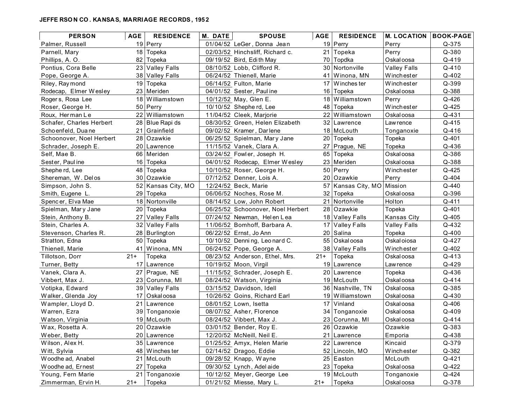#### **JEFFE RSO N CO . KANSAS, MARRIAGE RECORDS, 195 2**

| <b>PERSON</b>            | <b>AGE</b>      | <b>RESIDENCE</b>    | <b>M. DATE</b> | <b>SPOUSE</b>                     | AGE   | <b>RESIDENCE</b>           | <b>M. LOCATION</b>  | <b>BOOK-PAGE</b> |
|--------------------------|-----------------|---------------------|----------------|-----------------------------------|-------|----------------------------|---------------------|------------------|
| Palmer, Russell          |                 | 19 Perry            |                | 01/04/52 LeGer, Donna Jean        |       | 19 Perry                   | Perry               | Q-375            |
| Parnell, Mary            |                 | 18 Topeka           |                | 02/03/52 Hinchsliff, Richard c.   |       | 21 Topeka                  | Perry               | Q-380            |
| Phillips, A. O.          | 82              | Topeka              |                | 09/19/52 Bird, Edith May          | 70    | Topdka                     | Oskal oosa          | Q-419            |
| Pontius, Cora Belle      |                 | 23 Valley Falls     |                | 08/10/52 Lobb, Clifford R.        |       | 30 Nortonville             | <b>Valley Falls</b> | Q-410            |
| Pope, George A.          |                 | 38 Valley Falls     |                | 06/24/52 Thienell, Marie          | 41    | Winona, MN                 | Winchester          | Q-402            |
| Riley, Raymond           |                 | 19 Topeka           |                | 06/14/52 Fulton, Marie            | 17    | Winches ter                | Winchester          | Q-399            |
| Rodecap, Elmer Wesley    |                 | 23 Meriden          |                | 04/01/52 Sester, Pauline          | 16    | Topeka                     | Oskal oosa          | Q-388            |
| Rogers, Rosa Lee         |                 | 18 Williamstown     |                | 10/12/52 May, Glen E.             | 18    | Williamstown               | Perry               | Q-426            |
| Roser, George H.         |                 | 50 Perry            |                | 10/10/52 Shephe rd, Lee           | 48    | Topeka                     | Winchester          | Q-425            |
| Roux, Herman Le          |                 | 22 Williamstown     |                | 11/04/52 Cleek, Marjorie          |       | 22 Williamstown            | Oskal oosa          | Q-431            |
| Schafer, Charles Herbert |                 | 28 Blue Rapi ds     |                | 08/30/52 Green, Helen Elizabeth   |       | 32 Lawrence                | Lawrence            | Q-415            |
| Schoenfeld, Duane        |                 | 21 Grainfield       |                | 09/02/52 Kramer, Darlene          |       | 18 McLouth                 | Tonganoxie          | Q-416            |
| Schoonover, Noel Herbert |                 | 28 Ozawkie          |                | 06/25/52 Spielman, Mary Jane      | 20    | Topeka                     | Topeka              | Q-401            |
| Schrader, Joseph E.      |                 | 20   Lawrence       |                | 11/15/52 Vanek, Clara A.          |       | Prague, NE                 | Topeka              | Q-436            |
| Self, Mae B.             |                 | 66   Meriden        |                | 03/24/52 Fowler, Joseph H.        |       | 65 Topeka                  | Oskal oosa          | Q-386            |
| Sester, Pauline          |                 | 16 Topeka           |                | 04/01/52 Rodecap, Elmer Wesley    | 23.   | Meriden                    | Oskal oosa          | Q-388            |
| Shephe rd, Lee           |                 | 48 Topeka           |                | 10/10/52 Roser, George H.         |       | 50 Perry                   | Winchester          | Q-425            |
| Shereman, W. Delos       |                 | 30 Ozawkie          |                | 07/12/52 Denner, Lois A.          |       | 20 Ozawkie                 | Perry               | Q-404            |
| Simpson, John S.         |                 | 52 Kansas City, MO  |                | 12/24/52 Beck, Marie              |       | 57 Kansas City, MO Mission |                     | Q-440            |
| Smith, Eugene L.         | 29 <sub>1</sub> | Topeka              |                | 06/06/52 Noches, Rose M.          |       | 32 Topeka                  | Oskal oosa          | Q-396            |
| Spencer, Elva Mae        |                 | 18 Nortonville      |                | 08/14/52 Low, John Robert         |       | 21 Nortonville             | Holton              | Q-411            |
| Spielman, Mary Jane      | 20 <sup>1</sup> | Topeka              |                | 06/25/52 Schoonover, Noel Herbert |       | 28 Ozawkie                 | Topeka              | Q-401            |
| Stein, Anthony B.        | 27              | <b>Valley Falls</b> |                | 07/24/52 Newman, Helen Lea        |       | 18 Valley Falls            | Kansas City         | Q-405            |
| Stein, Charles A.        | 32              | Valley Falls        |                | 11/06/52 Bomhoff, Barbara A.      |       | 17 Valley Falls            | <b>Valley Falls</b> | Q-432            |
| Stevenson, Charles R.    |                 | 28 Burlington       |                | 06/22/52 Ernst, Jo Ann            | 20    | Salina                     | Topeka              | $Q - 400$        |
| Stratton, Edna           | 50              | Topeka              |                | 10/10/52 Denning, Leonard C.      |       | 55 Oskaloosa               | Oskal oiosa         | Q-427            |
| Thienell, Marie          |                 | 41   Winona, MN     |                | 06/24/52 Pope, George A.          |       | 38 Valley Falls            | Winchester          | Q-402            |
| Tillotson, Dorr          | $21+$           | Topeka              |                | 08/23/52 Anderson, Ethel, Mrs.    | $21+$ | Topeka                     | Oskal oosa          | Q-413            |
| Turner, Betty            |                 | 17 Lawrence         |                | 10/19/52 Moon, Virgil             | 19    | Lawrence                   | Lawrence            | Q-429            |
| Vanek, Clara A.          | 27              | Prague, NE          |                | 11/15/52 Schrader, Joseph E.      |       | 20 Lawrence                | Topeka              | Q-436            |
| Vibbert, Max J.          |                 | 23 Corunna, MI      |                | 08/24/52 Watson, Virginia         |       | 19 McLouth                 | Oskal oosa          | Q-414            |
| Votipka, Edward          | 39              | <b>Valley Falls</b> |                | 03/15/52 Davidson, Idell          |       | 36 Nashville, TN           | Oskal oosa          | Q-385            |
| Walker, Glenda Joy       | 17              | Oskal oosa          |                | 10/26/52 Goins, Richard Earl      | 19    | Williamstown               | Oskal oosa          | Q-430            |
| Wampler, Lloyd D.        |                 | 21 Lawrence         |                | 08/01/52 Lown, Isetta             |       | 17 Vinland                 | Oskal oosa          | Q-406            |
| Warren, Ezra             |                 | 39 Tonganoxie       |                | 08/07/52 Asher, Florence          |       | 34 Tonganoxie              | Oskal oosa          | Q-409            |
| Watson, Virginia         |                 | 19 McLouth          |                | 08/24/52 Vibbert, Max J.          |       | 23 Corunna, MI             | Oskal oosa          | Q-414            |
| Wax, Rosetta A.          |                 | 20 Ozawkie          |                | 03/01/52 Bender, Roy E            |       | 26 Ozawkie                 | Ozawkie             | Q-383            |
| Weber, Betty             |                 | 20 Lawrence         |                | 12/20/52 McNeill, Neil E.         |       | 21 Lawrence                | Emporia             | Q-438            |
| Wilson, Alex H.          |                 | 35 Lawrence         |                | 01/25/52 Amyx, Helen Marie        |       | 22 Lawrence                | Kincaid             | Q-379            |
| Witt, Sylvia             |                 | 48 Winches ter      |                | 02/14/52 Dragoo, Eddie            |       | 52 Lincoln, MO             | Winchester          | Q-382            |
| Woodhe ad, Anabel        |                 | 21 McLouth          |                | 09/28/52 Knapp, Wayne             |       | 25 Easton                  | McLouth             | Q-421            |
| Woodhe ad, Ernest        | 27              | Topeka              |                | 09/30/52 Lynch, Adel aide         |       | 23 Topeka                  | Oskal oosa          | Q-422            |
| Young, Fern Marie        |                 | 21 Tonganoxie       |                | 10/12/52 Meyer, George Lee        |       | 19 McLouth                 | Tonganoxie          | Q-424            |
| Zimmerman, Ervin H.      | $21+$           | Topeka              |                | 01/21/52 Miesse, Mary L.          | $21+$ | Topeka                     | Oskal oosa          | Q-378            |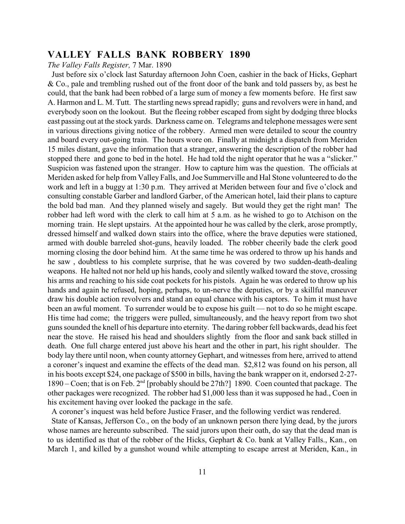**VALLEY FALLS BANK ROBBERY 1890** *The Valley Falls Register,* 7 Mar. 1890

 Just before six o'clock last Saturday afternoon John Coen, cashier in the back of Hicks, Gephart & Co., pale and trembling rushed out of the front door of the bank and told passers by, as best he could, that the bank had been robbed of a large sum of money a few moments before. He first saw A. Harmon and L. M. Tutt. The startling news spread rapidly; guns and revolvers were in hand, and everybody soon on the lookout. But the fleeing robber escaped from sight by dodging three blocks east passing out at the stock yards. Darkness came on. Telegrams and telephone messages were sent in various directions giving notice of the robbery. Armed men were detailed to scour the country and board every out-going train. The hours wore on. Finally at midnight a dispatch from Meriden 15 miles distant, gave the information that a stranger, answering the description of the robber had stopped there and gone to bed in the hotel. He had told the night operator that he was a "slicker." Suspicion was fastened upon the stranger. How to capture him was the question. The officials at Meriden asked for help from Valley Falls, and Joe Summerville and Hal Stone volunteered to do the work and left in a buggy at 1:30 p.m. They arrived at Meriden between four and five o'clock and consulting constable Garber and landlord Garber, of the American hotel, laid their plans to capture the bold bad man. And they planned wisely and sagely. But would they get the right man! The robber had left word with the clerk to call him at 5 a.m. as he wished to go to Atchison on the morning train. He slept upstairs. At the appointed hour he was called by the clerk, arose promptly, dressed himself and walked down stairs into the office, where the brave deputies were stationed, armed with double barreled shot-guns, heavily loaded. The robber cheerily bade the clerk good morning closing the door behind him. At the same time he was ordered to throw up his hands and he saw , doubtless to his complete surprise, that he was covered by two sudden-death-dealing weapons. He halted not nor held up his hands, cooly and silently walked toward the stove, crossing his arms and reaching to his side coat pockets for his pistols. Again he was ordered to throw up his hands and again he refused, hoping, perhaps, to un-nerve the deputies, or by a skillful maneuver draw his double action revolvers and stand an equal chance with his captors. To him it must have been an awful moment. To surrender would be to expose his guilt — not to do so he might escape. His time had come; the triggers were pulled, simultaneously, and the heavy report from two shot guns sounded the knell of his departure into eternity. The daring robber fell backwards, dead his feet near the stove. He raised his head and shoulders slightly from the floor and sank back stilled in death. One full charge entered just above his heart and the other in part, his right shoulder. The body lay there until noon, when county attorney Gephart, and witnesses from here, arrived to attend a coroner's inquest and examine the effects of the dead man. \$2,812 was found on his person, all in his boots except \$24, one package of \$500 in bills, having the bank wrapper on it, endorsed 2-27- 1890 – Coen; that is on Feb.  $2<sup>nd</sup>$  [probably should be 27th?] 1890. Coen counted that package. The other packages were recognized. The robber had \$1,000 less than it was supposed he had., Coen in his excitement having over looked the package in the safe.

A coroner's inquest was held before Justice Fraser, and the following verdict was rendered.

 State of Kansas, Jefferson Co., on the body of an unknown person there lying dead, by the jurors whose names are hereunto subscribed. The said jurors upon their oath, do say that the dead man is to us identified as that of the robber of the Hicks, Gephart & Co. bank at Valley Falls., Kan., on March 1, and killed by a gunshot wound while attempting to escape arrest at Meriden, Kan., in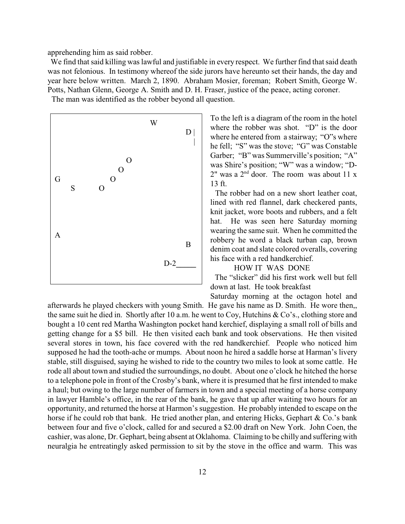apprehending him as said robber.

 We find that said killing was lawful and justifiable in every respect. We further find that said death was not felonious. In testimony whereof the side jurors have hereunto set their hands, the day and year here below written. March 2, 1890. Abraham Mosier, foreman; Robert Smith, George W. Potts, Nathan Glenn, George A. Smith and D. H. Fraser, justice of the peace, acting coroner.

The man was identified as the robber beyond all question.



To the left is a diagram of the room in the hotel where the robber was shot. "D" is the door where he entered from a stairway; "O"s where he fell; "S" was the stove; "G" was Constable Garber; "B" was Summerville's position; "A" was Shire's position; "W" was a window; "D- $2^{\prime\prime}$  was a  $2^{\text{nd}}$  door. The room was about 11 x  $13<sub>f</sub>$ 

 The robber had on a new short leather coat, lined with red flannel, dark checkered pants, knit jacket, wore boots and rubbers, and a felt hat. He was seen here Saturday morning wearing the same suit. When he committed the robbery he word a black turban cap, brown denim coat and slate colored overalls, covering his face with a red handkerchief.

#### HOW IT WAS DONE

 The "slicker" did his first work well but fell down at last. He took breakfast

afterwards he played checkers with young Smith. He gave his name as D. Smith. He wore then,, the same suit he died in. Shortly after 10 a.m. he went to Coy, Hutchins & Co's., clothing store and bought a 10 cent red Martha Washington pocket hand kerchief, displaying a small roll of bills and getting change for a \$5 bill. He then visited each bank and took observations. He then visited several stores in town, his face covered with the red handkerchief. People who noticed him supposed he had the tooth-ache or mumps. About noon he hired a saddle horse at Harman's livery stable, still disguised, saying he wished to ride to the country two miles to look at some cattle. He rode all about town and studied the surroundings, no doubt. About one o'clock he hitched the horse to a telephone pole in front of the Crosby's bank, where it is presumed that he first intended to make a haul; but owing to the large number of farmers in town and a special meeting of a horse company in lawyer Hamble's office, in the rear of the bank, he gave that up after waiting two hours for an opportunity, and returned the horse at Harmon's suggestion. He probably intended to escape on the horse if he could rob that bank. He tried another plan, and entering Hicks, Gephart & Co.'s bank between four and five o'clock, called for and secured a \$2.00 draft on New York. John Coen, the cashier, was alone, Dr. Gephart, being absent at Oklahoma. Claiming to be chilly and suffering with neuralgia he entreatingly asked permission to sit by the stove in the office and warm. This was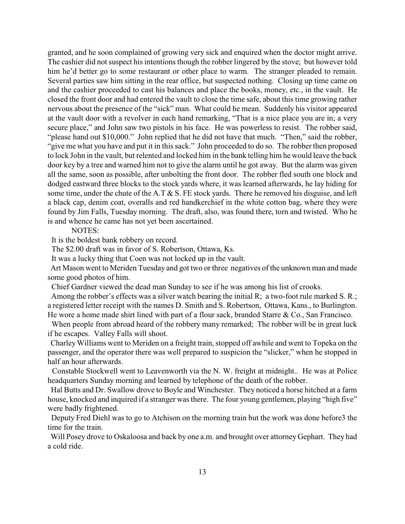granted, and he soon complained of growing very sick and enquired when the doctor might arrive. The cashier did not suspect his intentions though the robber lingered by the stove; but however told him he'd better go to some restaurant or other place to warm. The stranger pleaded to remain. Several parties saw him sitting in the rear office, but suspected nothing. Closing up time came on and the cashier proceeded to cast his balances and place the books, money, etc., in the vault. He closed the front door and had entered the vault to close the time safe, about this time growing rather nervous about the presence of the "sick" man. What could he mean. Suddenly his visitor appeared at the vault door with a revolver in each hand remarking, "That is a nice place you are in; a very secure place," and John saw two pistols in his face. He was powerless to resist. The robber said, "please hand out \$10,000." John replied that he did not have that much. "Then," said the robber, "give me what you have and put it in this sack." John proceeded to do so. The robber then proposed to lock John in the vault, but relented and locked him in the bank telling him he would leave the back door key by a tree and warned him not to give the alarm until he got away. But the alarm was given all the same, soon as possible, after unbolting the front door. The robber fled south one block and dodged eastward three blocks to the stock yards where, it was learned afterwards, he lay hiding for some time, under the chute of the A.T & S. FE stock yards. There he removed his disguise, and left a black cap, denim coat, overalls and red handkerchief in the white cotton bag, where they were found by Jim Falls, Tuesday morning. The draft, also, was found there, torn and twisted. Who he is and whence he came has not yet been ascertained.

#### NOTES:

It is the boldest bank robbery on record.

The \$2.00 draft was in favor of S. Robertson, Ottawa, Ks.

It was a lucky thing that Coen was not locked up in the vault.

 Art Mason went to Meriden Tuesday and got two or three negatives of the unknown man and made some good photos of him.

Chief Gardner viewed the dead man Sunday to see if he was among his list of crooks.

 Among the robber's effects was a silver watch bearing the initial R; a two-foot rule marked S. R.; a registered letter receipt with the names D. Smith and S. Robertson, Ottawa, Kans., to Burlington. He wore a home made shirt lined with part of a flour sack, branded Starre & Co., San Francisco.

 When people from abroad heard of the robbery many remarked; The robber will be in great luck if he escapes. Valley Falls will shoot.

 Charley Williams went to Meriden on a freight train, stopped off awhile and went to Topeka on the passenger, and the operator there was well prepared to suspicion the "slicker," when he stopped in half an hour afterwards.

 Constable Stockwell went to Leavenworth via the N. W. freight at midnight.. He was at Police headquarters Sunday morning and learned by telephone of the death of the robber.

 Hal Butts and Dr. Swallow drove to Boyle and Winchester. They noticed a horse hitched at a farm house, knocked and inquired if a stranger was there. The four young gentlemen, playing "high five" were badly frightened.

 Deputy Fred Diehl was to go to Atchison on the morning train but the work was done before3 the time for the train.

 Will Posey drove to Oskaloosa and back by one a.m. and brought over attorney Gephart. They had a cold ride.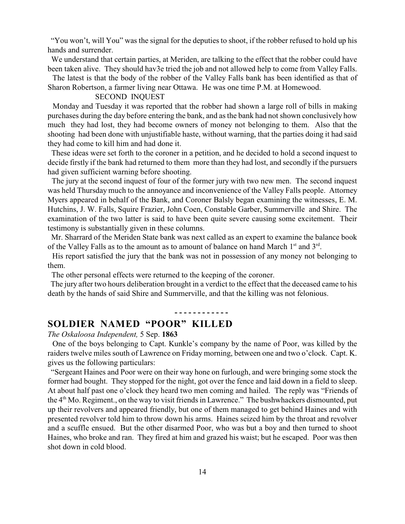"You won't, will You" was the signal for the deputies to shoot, if the robber refused to hold up his hands and surrender.

 We understand that certain parties, at Meriden, are talking to the effect that the robber could have been taken alive. They should hav3e tried the job and not allowed help to come from Valley Falls.

 The latest is that the body of the robber of the Valley Falls bank has been identified as that of Sharon Robertson, a farmer living near Ottawa. He was one time P.M. at Homewood.

#### SECOND INQUEST

Monday and Tuesday it was reported that the robber had shown a large roll of bills in making purchases during the day before entering the bank, and as the bank had not shown conclusively how much they had lost, they had become owners of money not belonging to them. Also that the shooting had been done with unjustifiable haste, without warning, that the parties doing it had said they had come to kill him and had done it.

 These ideas were set forth to the coroner in a petition, and he decided to hold a second inquest to decide firstly if the bank had returned to them more than they had lost, and secondly if the pursuers had given sufficient warning before shooting.

 The jury at the second inquest of four of the former jury with two new men. The second inquest was held Thursday much to the annoyance and inconvenience of the Valley Falls people. Attorney Myers appeared in behalf of the Bank, and Coroner Balsly began examining the witnesses, E. M. Hutchins, J. W. Falls, Squire Frazier, John Coen, Constable Garber, Summerville and Shire. The examination of the two latter is said to have been quite severe causing some excitement. Their testimony is substantially given in these columns.

 Mr. Sharrard of the Meriden State bank was next called as an expert to examine the balance book of the Valley Falls as to the amount as to amount of balance on hand March  $1<sup>st</sup>$  and  $3<sup>rd</sup>$ .

 His report satisfied the jury that the bank was not in possession of any money not belonging to them.

The other personal effects were returned to the keeping of the coroner.

 The jury after two hours deliberation brought in a verdict to the effect that the deceased came to his death by the hands of said Shire and Summerville, and that the killing was not felonious.

# **SOLDIER NAMED "POOR" KILLED**

**SOLDIER NAMED "POOR" KILLED** *The Oskaloosa Independent,* 5 Sep.**<sup>1863</sup>**

 One of the boys belonging to Capt. Kunkle's company by the name of Poor, was killed by the raiders twelve miles south of Lawrence on Friday morning, between one and two o'clock. Capt. K. gives us the following particulars:

 "Sergeant Haines and Poor were on their way hone on furlough, and were bringing some stock the former had bought. They stopped for the night, got over the fence and laid down in a field to sleep. At about half past one o'clock they heard two men coming and hailed. The reply was "Friends of the  $4<sup>th</sup>$  Mo. Regiment., on the way to visit friends in Lawrence." The bushwhackers dismounted, put up their revolvers and appeared friendly, but one of them managed to get behind Haines and with presented revolver told him to throw down his arms. Haines seized him by the throat and revolver and a scuffle ensued. But the other disarmed Poor, who was but a boy and then turned to shoot Haines, who broke and ran. They fired at him and grazed his waist; but he escaped. Poor was then shot down in cold blood.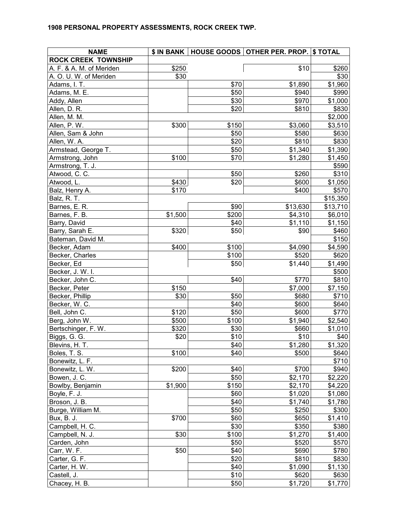| <b>NAME</b>                    |         |              | \$ IN BANK   HOUSE GOODS   OTHER PER. PROP.   \$ TOTAL |                |
|--------------------------------|---------|--------------|--------------------------------------------------------|----------------|
| <b>ROCK CREEK TOWNSHIP</b>     |         |              |                                                        |                |
| A. F. & A. M. of Meriden       | \$250   |              | \$10                                                   | \$260          |
| A. O. U. W. of Meriden         | \$30    |              |                                                        | \$30           |
| Adams, I. T.                   |         | \$70         | \$1,890                                                | \$1,960        |
| Adams, M. E.                   |         | \$50         | \$940                                                  | \$990          |
| Addy, Allen                    |         | \$30         | \$970                                                  | \$1,000        |
| Allen, D. R.                   |         | \$20         | \$810                                                  | \$830          |
| Allen, M. M.                   |         |              |                                                        | \$2,000        |
| Allen, P. W.                   | \$300   | \$150        | \$3,060                                                | \$3,510        |
| Allen, Sam & John              |         | \$50         | \$580                                                  | \$630          |
| Allen, W. A.                   |         | \$20         | \$810                                                  | \$830          |
| Armstead, George T.            |         | \$50         | \$1,340                                                | \$1,390        |
| Armstrong, John                | \$100   | \$70         | \$1,280                                                | \$1,450        |
| Armstrong, T. J.               |         |              |                                                        | \$590          |
| Atwood, C. C.                  |         | \$50         | \$260                                                  | \$310          |
| Atwood, L.                     | \$430   | \$20         | \$600                                                  | \$1,050        |
| Balz, Henry A.                 | \$170   |              | \$400                                                  | \$570          |
| Balz, R. T.                    |         |              |                                                        | \$15,350       |
| Barnes, E. R.                  |         | \$90         | \$13,630                                               | \$13,710       |
| Barnes, F. B.                  | \$1,500 | \$200        | \$4,310                                                | \$6,010        |
| Barry, David                   |         | \$40         | \$1,110                                                | \$1,150        |
| Barry, Sarah E.                | \$320   | \$50         | \$90                                                   | \$460          |
| Bateman, David M.              |         |              |                                                        | \$150          |
| Becker, Adam                   | \$400   | \$100        | \$4,090                                                | \$4,590        |
| Becker, Charles                |         | \$100        | \$520                                                  | \$620          |
| Becker, Ed                     |         | \$50         | \$1,440                                                | \$1,490        |
| Becker, J. W. I.               |         | \$40         | \$770                                                  | \$500<br>\$810 |
| Becker, John C.                | \$150   |              | \$7,000                                                |                |
| Becker, Peter                  |         |              |                                                        | \$7,150        |
| Becker, Phillip                | \$30    | \$50<br>\$40 | \$680<br>\$600                                         | \$710          |
| Becker, W. C.<br>Bell, John C. | \$120   | \$50         | \$600                                                  | \$640<br>\$770 |
| Berg, John W.                  | \$500   | \$100        | \$1,940                                                | \$2,540        |
| Bertschinger, F. W.            | \$320   | \$30         | \$660                                                  | \$1,010        |
| Biggs, G. G.                   | \$20    | \$10         | \$10                                                   | \$40           |
| Blevins, H. T.                 |         | \$40         | \$1,280                                                | \$1,320        |
| Boles, T. S.                   | \$100   | \$40         | \$500                                                  | \$640          |
| Bonewitz, L. F.                |         |              |                                                        | \$710          |
| Bonewitz, L. W.                | \$200   | \$40         | \$700                                                  | \$940          |
| Bowen, J. C.                   |         | \$50         | \$2,170                                                | \$2,220        |
| Bowlby, Benjamin               | \$1,900 | \$150        | \$2,170                                                | \$4,220        |
| Boyle, F. J.                   |         | \$60         | \$1,020                                                | \$1,080        |
| Broson, J. B.                  |         | \$40         | \$1,740                                                | \$1,780        |
| Burge, William M.              |         | \$50         | \$250                                                  | \$300          |
| Bux, B. J.                     | \$700   | \$60         | \$650                                                  | \$1,410        |
| Campbell, H. C.                |         | \$30         | \$350                                                  | \$380          |
| Campbell, N. J.                | \$30    | \$100        | \$1,270                                                | \$1,400        |
| Carden, John                   |         | \$50         | \$520                                                  | \$570          |
| Carr, W. F.                    | \$50    | \$40         | \$690                                                  | \$780          |
| Carter, G. F.                  |         | \$20         | \$810                                                  | \$830          |
| Carter, H. W.                  |         | \$40         | \$1,090                                                | \$1,130        |
| Castell, J.                    |         | \$10         | \$620                                                  | \$630          |
| Chacey, H. B.                  |         | \$50         | \$1,720                                                | \$1,770        |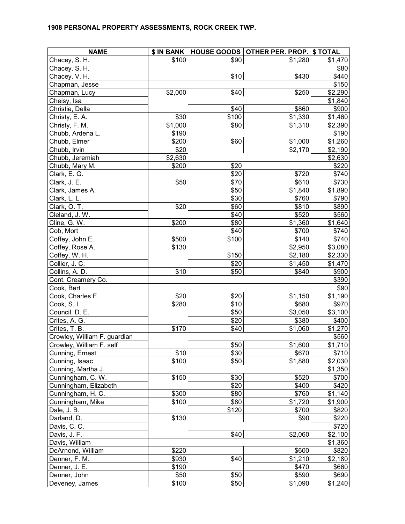| <b>NAME</b>                  |         |       | \$ IN BANK   HOUSE GOODS   OTHER PER. PROP.   \$ TOTAL |                     |
|------------------------------|---------|-------|--------------------------------------------------------|---------------------|
| Chacey, S. H.                | \$100   | \$90  | \$1,280                                                | \$1,470             |
| Chacey, S. H.                |         |       |                                                        | \$80                |
| Chacey, V. H.                |         | \$10  | \$430                                                  | \$440               |
| Chapman, Jesse               |         |       |                                                        | \$150               |
| Chapman, Lucy                | \$2,000 | \$40  | \$250                                                  | \$2,290             |
| Cheisy, Isa                  |         |       |                                                        | \$1,840             |
| Christie, Della              |         | \$40  | \$860                                                  | \$900               |
| Christy, E. A.               | \$30    | \$100 | \$1,330                                                | \$1,460             |
| Christy, F. M.               | \$1,000 | \$80  | \$1,310                                                | \$2,390             |
| Chubb, Ardena L.             | \$190   |       |                                                        | \$190               |
| Chubb, Elmer                 | \$200   | \$60  | \$1,000                                                | \$1,260             |
| Chubb, Irvin                 | \$20    |       | \$2,170                                                | \$2,190             |
| Chubb, Jeremiah              | \$2,630 |       |                                                        | \$2,630             |
| Chubb, Mary M.               | \$200   | \$20  |                                                        | \$220               |
| Clark, E. G.                 |         | \$20  | \$720                                                  | \$740               |
| Clark, J. E.                 | \$50    | \$70  | \$610                                                  | \$730               |
| Clark, James A.              |         | \$50  | \$1,840                                                | \$1,890             |
| Clark, L. L.                 |         | \$30  | \$760                                                  | \$790               |
| Clark, O. T.                 | \$20    | \$60  | \$810                                                  | \$890               |
| Cleland, J. W.               |         | \$40  | \$520                                                  | \$560               |
| Cline, G. W.                 | \$200   | \$80  | \$1,360                                                | \$1,640             |
| Cob, Mort                    |         | \$40  | \$700                                                  | \$740               |
| Coffey, John E.              | \$500   | \$100 | \$140                                                  | \$740               |
| Coffey, Rose A.              | \$130   |       | \$2,950                                                | \$3,080             |
| Coffey, W. H.                |         | \$150 | \$2,180                                                | \$2,330             |
| Collier, J. C.               |         | \$20  | \$1,450                                                | \$1,470             |
| Collins, A. D.               | \$10    | \$50  | \$840                                                  | \$900               |
| Cont. Creamery Co.           |         |       |                                                        | \$390               |
| Cook, Bert                   |         |       |                                                        | \$90                |
| Cook, Charles F.             | \$20    | \$20  | \$1,150                                                | \$1,190             |
| Cook, S.I.                   | \$280   | \$10  | \$680                                                  | \$970               |
| Council, D. E.               |         | \$50  | \$3,050                                                | \$3,100             |
| Crites, A. G.                |         | \$20  | \$380                                                  | \$400               |
| Crites, T. B.                | \$170   | \$40  | \$1,060                                                | \$1,270             |
| Crowley, William F. guardian |         |       |                                                        | \$560               |
| Crowley, William F. self     |         | \$50  | \$1,600                                                | $\overline{$1,710}$ |
| Cunning, Ernest              | \$10    | \$30  | \$670                                                  | \$710               |
| Cunning, Isaac               | \$100   | \$50  | \$1,880                                                | \$2,030             |
| Cunning, Martha J.           |         |       |                                                        | \$1,350             |
| Cunningham, C. W.            | \$150   | \$30  | \$520                                                  | \$700               |
| Cunningham, Elizabeth        |         | \$20  | \$400                                                  | \$420               |
| Cunningham, H. C.            | \$300   | \$80  | \$760                                                  | \$1,140             |
| Cunningham, Mike             | \$100   | \$80  | \$1,720                                                | \$1,900             |
| Dale, J. B.                  |         | \$120 | \$700                                                  | \$820               |
| Darland, D.                  | \$130   |       | \$90                                                   | \$220               |
| Davis, C. C.                 |         |       |                                                        | \$720               |
| Davis, J. F.                 |         | \$40  | \$2,060                                                | \$2,100             |
| Davis, William               |         |       |                                                        | \$1,360             |
| DeArnond, William            | \$220   |       | \$600                                                  | \$820               |
| Denner, F. M.                | \$930   | \$40  | \$1,210                                                | \$2,180             |
| Denner, J. E.                | \$190   |       | \$470                                                  | \$660               |
| Denner, John                 | \$50    | \$50  | \$590                                                  | \$690               |
| Deveney, James               | \$100   | \$50  | \$1,090                                                | \$1,240             |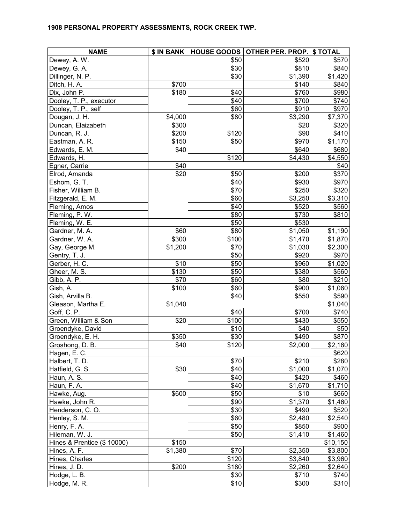| <b>NAME</b>                 |         |       | \$ IN BANK   HOUSE GOODS   OTHER PER. PROP.   \$ TOTAL |          |
|-----------------------------|---------|-------|--------------------------------------------------------|----------|
| Dewey, A. W.                |         | \$50  | \$520                                                  | \$570    |
| Dewey, G. A.                |         | \$30  | \$810                                                  | \$840    |
| Dillinger, N. P.            |         | \$30  | \$1,390                                                | \$1,420  |
| Ditch, H. A.                | \$700   |       | \$140                                                  | \$840    |
| Dix, John P.                | \$180   | \$40  | \$760                                                  | \$980    |
| Dooley, T. P., executor     |         | \$40  | \$700                                                  | \$740    |
| Dooley, T. P., self         |         | \$60  | \$910                                                  | \$970    |
| Dougan, J. H.               | \$4,000 | \$80  | \$3,290                                                | \$7,370  |
| Duncan, Elaizabeth          | \$300   |       | \$20                                                   | \$320    |
| Duncan, R. J.               | \$200   | \$120 | \$90                                                   | \$410    |
| Eastman, A. R.              | \$150   | \$50  | \$970                                                  | \$1,170  |
| Edwards, E. M.              | \$40    |       | \$640                                                  | \$680    |
| Edwards, H.                 |         | \$120 | \$4,430                                                | \$4,550  |
| Egner, Carrie               | \$40    |       |                                                        | \$40     |
| Elrod, Amanda               | \$20    | \$50  | \$200                                                  | \$370    |
| Eshom, G. T.                |         | \$40  | \$930                                                  | \$970    |
| Fisher, William B.          |         | \$70  | \$250                                                  | \$320    |
| Fitzgerald, E. M.           |         | \$60  | \$3,250                                                | \$3,310  |
| Fleming, Amos               |         | \$40  | \$520                                                  | \$560    |
| Fleming, P. W.              |         | \$80  | \$730                                                  | \$810    |
| Fleming, W. E.              |         | \$50  | \$530                                                  |          |
| Gardner, M. A.              | \$60    | \$80  | \$1,050                                                | \$1,190  |
| Gardner, W. A.              | \$300   | \$100 | \$1,470                                                | \$1,870  |
| Gay, George M.              | \$1,200 | \$70  | \$1,030                                                | \$2,300  |
| Gentry, T. J.               |         | \$50  | \$920                                                  | \$970    |
| Gerber, H. C.               | \$10    | \$50  | \$960                                                  | \$1,020  |
| Gheer, M. S.                | \$130   | \$50  | \$380                                                  | \$560    |
| Gibb, A. P.                 | \$70    | \$60  | \$80                                                   | \$210    |
| Gish, A.                    | \$100   | \$60  | \$900                                                  | \$1,060  |
| Gish, Arvilla B.            |         | \$40  | \$550                                                  | \$590    |
| Gleason, Martha E.          | \$1,040 |       |                                                        | \$1,040  |
| Goff, C. P.                 |         | \$40  | \$700                                                  | \$740    |
| Green, William & Son        | \$20    | \$100 | \$430                                                  | \$550    |
| Groendyke, David            |         | \$10  | \$40                                                   | \$50     |
| Groendyke, E. H.            | \$350   | \$30  | \$490                                                  | \$870    |
| Groshong, D. B.             | \$40    | \$120 | \$2,000                                                | \$2,160  |
| Hagen, E. C.                |         |       |                                                        | \$620    |
| Halbert, T. D.              |         | \$70  | \$210                                                  | \$280    |
| Hatfield, G. S.             | \$30    | \$40  | \$1,000                                                | \$1,070  |
| Haun, A. S.                 |         | \$40  | \$420                                                  | \$460    |
| Haun, F. A.                 |         | \$40  | \$1,670                                                | \$1,710  |
| Hawke, Aug.                 | \$600   | \$50  | \$10                                                   | \$660    |
| Hawke, John R.              |         | \$90  | \$1,370                                                | \$1,460  |
| Henderson, C.O.             |         | \$30  | \$490                                                  | \$520    |
| Henley, S. M.               |         | \$60  | \$2,480                                                | \$2,540  |
| Henry, F. A.                |         | \$50  | \$850                                                  | \$900    |
| Hileman, W. J.              |         | \$50  | \$1,410                                                | \$1,460  |
| Hines & Prentice (\$ 10000) | \$150   |       |                                                        | \$10,150 |
| Hines, A. F.                | \$1,380 | \$70  | \$2,350                                                | \$3,800  |
| Hines, Charles              |         | \$120 | \$3,840                                                | \$3,960  |
| Hines, J.D.                 | \$200   | \$180 | \$2,260                                                | \$2,640  |
| Hodge, L. B.                |         | \$30  | \$710                                                  | \$740    |
| Hodge, M. R.                |         | \$10  | \$300                                                  | \$310    |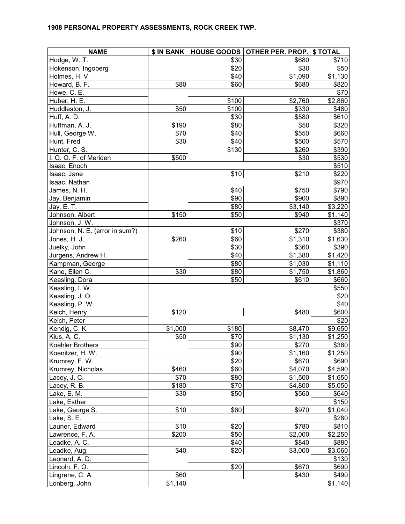| <b>NAME</b>                    |         |       | \$ IN BANK   HOUSE GOODS   OTHER PER. PROP. | \$TOTAL |
|--------------------------------|---------|-------|---------------------------------------------|---------|
| Hodge, W. T.                   |         | \$30  | \$680                                       | \$710   |
| Hokenson, Ingoberg             |         | \$20  | \$30                                        | \$50    |
| Holmes, H. V.                  |         | \$40  | \$1,090                                     | \$1,130 |
| Howard, B. F.                  | \$80    | \$60  | \$680                                       | \$820   |
| Howe, C. E.                    |         |       |                                             | \$70    |
| Huber, H. E.                   |         | \$100 | \$2,760                                     | \$2,860 |
| Huddleston, J.                 | \$50    | \$100 | \$330                                       | \$480   |
| Huff, A. D.                    |         | \$30  | \$580                                       | \$610   |
| Huffman, A. J.                 | \$190   | \$80  | \$50                                        | \$320   |
| Hull, George W.                | \$70    | \$40  | \$550                                       | \$660   |
| Hunt, Fred                     | \$30    | \$40  | \$500                                       | \$570   |
| Hunter, C. S.                  |         | \$130 | \$260                                       | \$390   |
| I. O. O. F. of Meriden         | \$500   |       | \$30                                        | \$530   |
| Isaac, Enoch                   |         |       |                                             | \$510   |
| Isaac, Jane                    |         | \$10  | \$210                                       | \$220   |
| Isaac, Nathan                  |         |       |                                             | \$970   |
| James, N. H.                   |         | \$40  | \$750                                       | \$790   |
| Jay, Benjamin                  |         | \$90  | \$900                                       | \$890   |
| Jay, E. T.                     |         | \$80  | \$3,140                                     | \$3,220 |
| Johnson, Albert                | \$150   | \$50  | \$940                                       | \$1,140 |
| Johnson, J. W.                 |         |       |                                             | \$370   |
| Johnson, N. E. (error in sum?) |         | \$10  | \$270                                       | \$380   |
| Jones, H. J.                   | \$260   | \$60  | \$1,310                                     | \$1,630 |
| Juelky, John                   |         | \$30  | \$360                                       | \$390   |
| Jurgens, Andrew H.             |         | \$40  | \$1,380                                     | \$1,420 |
| Kampman, George                |         | \$80  | \$1,030                                     | \$1,110 |
| Kane, Ellen C.                 | \$30    | \$80  | \$1,750                                     | \$1,860 |
| Keasling, Dora                 |         | \$50  | \$610                                       | \$660   |
| Keasling, I. W.                |         |       |                                             | \$550   |
| Keasling, J.O.                 |         |       |                                             | \$20    |
| Keasling, P. W.                |         |       |                                             | \$40    |
| Kelch, Henry                   | \$120   |       | \$480                                       | \$600   |
| Kelch, Peter                   |         |       |                                             | \$20    |
| Kendig, C. K.                  | \$1,000 | \$180 | \$8,470                                     | \$9,650 |
| Kius, A. C.                    | \$50    | \$70  | \$1,130                                     | \$1,250 |
| Koehler Brothers               |         | \$90  | \$270                                       | \$360   |
| Koenitzer, H. W.               |         | \$90  | \$1,160                                     | \$1,250 |
| Krumrey, F. W.                 |         | \$20  | \$670                                       | \$690   |
| Krumrey, Nicholas              | \$460   | \$60  | \$4,070                                     | \$4,590 |
| Lacey, J. C.                   | \$70    | \$80  | \$1,500                                     | \$1,650 |
| Lacey, R. B.                   | \$180   | \$70  | \$4,800                                     | \$5,050 |
| Lake, E. M.                    | \$30    | \$50  | \$560                                       | \$640   |
| Lake, Esther                   |         |       |                                             | \$150   |
| Lake, George S.                | \$10    | \$60  | \$970                                       | \$1,040 |
| Lake, S. E.                    |         |       |                                             | \$280   |
| Launer, Edward                 | \$10    | \$20  | \$780                                       | \$810   |
| Lawrence, F. A.                | \$200   | \$50  | \$2,000                                     | \$2,250 |
| Leadke, A. C.                  |         | \$40  | \$840                                       | \$880   |
| Leadke, Aug.                   | \$40    | \$20  | \$3,000                                     | \$3,060 |
| Leonard, A. D.                 |         |       |                                             | \$130   |
| Lincoln, F.O.                  |         | \$20  | \$670                                       | \$690   |
| Lingrene, C. A.                | \$60    |       | \$430                                       | \$490   |
| Lonberg, John                  | \$1,140 |       |                                             | \$1,140 |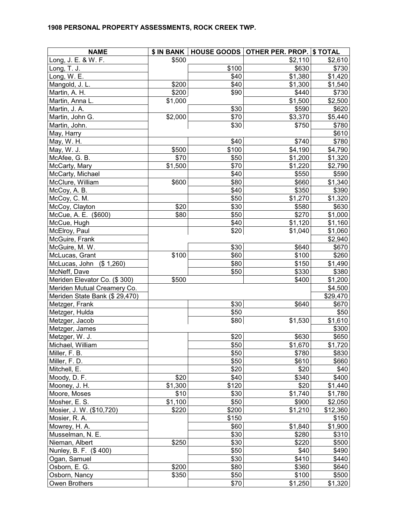| <b>NAME</b>                    | \$ IN BANK |       | HOUSE GOODS OTHER PER. PROP. \$ TOTAL |          |
|--------------------------------|------------|-------|---------------------------------------|----------|
| Long, J. E. & W. F.            | \$500      |       | \$2,110                               | \$2,610  |
| Long, T. J.                    |            | \$100 | \$630                                 | \$730    |
| Long, W. E.                    |            | \$40  | \$1,380                               | \$1,420  |
| Mangold, J. L.                 | \$200      | \$40  | \$1,300                               | \$1,540  |
| Martin, A. H.                  | \$200      | \$90  | \$440                                 | \$730    |
| Martin, Anna L.                | \$1,000    |       | \$1,500                               | \$2,500  |
| Martin, J. A.                  |            | \$30  | \$590                                 | \$620    |
| Martin, John G.                | \$2,000    | \$70  | \$3,370                               | \$5,440  |
| Martin, John.                  |            | \$30  | \$750                                 | \$780    |
| May, Harry                     |            |       |                                       | \$610    |
| May, W. H.                     |            | \$40  | \$740                                 | \$780    |
| May, W. J.                     | \$500      | \$100 | \$4,190                               | \$4,790  |
| McAfee, G. B.                  | \$70       | \$50  | \$1,200                               | \$1,320  |
| McCarty, Mary                  | \$1,500    | \$70  | \$1,220                               | \$2,790  |
| McCarty, Michael               |            | \$40  | \$550                                 | \$590    |
| McClure, William               | \$600      | \$80  | \$660                                 | \$1,340  |
| McCoy, A. B.                   |            | \$40  | \$350                                 | \$390    |
| McCoy, C. M.                   |            | \$50  | \$1,270                               | \$1,320  |
| McCoy, Clayton                 | \$20       | \$30  | \$580                                 | \$630    |
| McCue, A. E. (\$600)           | \$80       | \$50  | \$270                                 | \$1,000  |
| McCue, Hugh                    |            | \$40  | \$1,120                               | \$1,160  |
| McElroy, Paul                  |            | \$20  | \$1,040                               | \$1,060  |
| McGuire, Frank                 |            |       |                                       | \$2,940  |
| McGuire, M. W.                 |            | \$30  | \$640                                 | \$670    |
| McLucas, Grant                 | \$100      | \$60  | \$100                                 | \$260    |
| McLucas, John (\$1,260)        |            | \$80  | \$150                                 | \$1,490  |
| McNeff, Dave                   |            | \$50  | \$330                                 | \$380    |
| Meriden Elevator Co. (\$300)   | \$500      |       | \$400                                 | \$1,200  |
| Meriden Mutual Creamery Co.    |            |       |                                       | \$4,500  |
| Meriden State Bank (\$ 29,470) |            |       |                                       | \$29,470 |
| Metzger, Frank                 |            | \$30  | \$640                                 | \$670    |
| Metzger, Hulda                 |            | \$50  |                                       | \$50     |
| Metzger, Jacob                 |            | \$80  | \$1,530                               | \$1,610  |
| Metzger, James                 |            |       |                                       | \$300    |
| Metzger, W. J.                 |            | \$20  | \$630                                 | \$650    |
| Michael, William               |            | \$50  | \$1,670                               | \$1,720  |
| Miller, F. B.                  |            | \$50  | \$780                                 | \$830    |
| Miller, F. D.                  |            | \$50  | \$610                                 | \$660    |
| Mitchell, E.                   |            | \$20  | \$20                                  | \$40     |
| Moody, D. F.                   | \$20       | \$40  | \$340                                 | \$400    |
| Mooney, J. H.                  | \$1,300    | \$120 | \$20                                  | \$1,440  |
| Moore, Moses                   | \$10       | \$30  | \$1,740                               | \$1,780  |
| Mosher, E. S.                  | \$1,100    | \$50  | \$900                                 | \$2,050  |
| Mosier, J. W. (\$10,720)       | \$220      | \$200 | \$1,210                               | \$12,360 |
| Mosier, R. A.                  |            | \$150 |                                       | \$150    |
| Mowrey, H. A.                  |            | \$60  | \$1,840                               | \$1,900  |
| Musselman, N. E.               |            | \$30  | \$280                                 | \$310    |
| Nieman, Albert                 | \$250      | \$30  | \$220                                 | \$500    |
| Nunley, B. F. (\$400)          |            | \$50  | \$40                                  | \$490    |
| Ogan, Samuel                   |            | \$30  | \$410                                 | \$440    |
| Osborn, E. G.                  | \$200      | \$80  | \$360                                 | \$640    |
| Osborn, Nancy                  | \$350      | \$50  | \$100                                 | \$500    |
| Owen Brothers                  |            | \$70  | \$1,250                               | \$1,320  |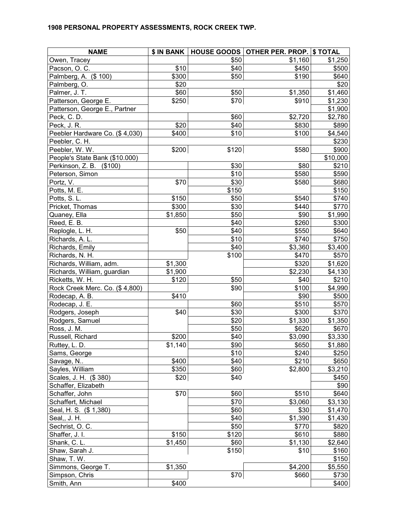| <b>NAME</b>                    |         |       | \$ IN BANK   HOUSE GOODS   OTHER PER. PROP. | \$TOTAL  |
|--------------------------------|---------|-------|---------------------------------------------|----------|
| Owen, Tracey                   |         | \$50  | \$1,160                                     | \$1,250  |
| Pacson, O. C.                  | \$10    | \$40  | \$450                                       | \$500    |
| Palmberg, A. (\$ 100)          | \$300   | \$50  | \$190                                       | \$640    |
| Palmberg, O.                   | \$20    |       |                                             | \$20     |
| Palmer, J. T.                  | \$60    | \$50  | \$1,350                                     | \$1,460  |
| Patterson, George E.           | \$250   | \$70  | \$910                                       | \$1,230  |
| Patterson, George E., Partner  |         |       |                                             | \$1,900  |
| Peck, C.D.                     |         | \$60  | $\overline{$}2,720$                         | \$2,780  |
| Peck, J. R.                    | \$20    | \$40  | \$830                                       | \$890    |
| Peebler Hardware Co. (\$4,030) | \$400   | \$10  | \$100                                       | \$4,540  |
| Peebler, C. H.                 |         |       |                                             | \$230    |
| Peebler, W. W.                 | \$200   | \$120 | \$580                                       | \$900    |
| People's State Bank (\$10.000) |         |       |                                             | \$10,000 |
| Perkinson, Z. B. (\$100)       |         | \$30  | \$80                                        | \$210    |
| Peterson, Simon                |         | \$10  | \$580                                       | \$590    |
| Portz, V.                      | \$70    | \$30  | \$580                                       | \$680    |
| Potts, M. E.                   |         | \$150 |                                             | \$150    |
| Potts, S.L.                    | \$150   | \$50  | \$540                                       | \$740    |
| Pricket, Thomas                | \$300   | \$30  | \$440                                       | \$770    |
| Quaney, Ella                   | \$1,850 | \$50  | \$90                                        | \$1,990  |
| Reed, E. B.                    |         | \$40  | \$260                                       | \$300    |
| Replogle, L. H.                | \$50    | \$40  | \$550                                       | \$640    |
| Richards, A. L.                |         | \$10  | \$740                                       | \$750    |
| Richards, Emily                |         | \$40  | \$3,360                                     | \$3,400  |
| Richards, N. H.                |         | \$100 | \$470                                       | \$570    |
| Richards, William, adm.        | \$1,300 |       | \$320                                       | \$1,620  |
| Richards, William, guardian    | \$1,900 |       | \$2,230                                     | \$4,130  |
| Ricketts, W. H.                | \$120   | \$50  | \$40                                        | \$210    |
| Rock Creek Merc. Co. (\$4,800) |         | \$90  | \$100                                       | \$4,990  |
| Rodecap, A. B.                 | \$410   |       | \$90                                        | \$500    |
| Rodecap, J. E.                 |         | \$60  | \$510                                       | \$570    |
| Rodgers, Joseph                | \$40    | \$30  | \$300                                       | \$370    |
| Rodgers, Samuel                |         | \$20  | \$1,330                                     | \$1,350  |
| Ross, J. M.                    |         | \$50  | \$620                                       | \$670    |
| Russell, Richard               | \$200   | \$40  | \$3,090                                     | \$3,330  |
| Ruttey, L. D.                  | \$1,140 | \$90  | \$650                                       | \$1,880  |
| Sams, George                   |         | \$10  | \$240                                       | \$250    |
| Savage, N                      | \$400   | \$40  | \$210                                       | \$650    |
| Sayles, William                | \$350   | \$60  | \$2,800                                     | \$3,210  |
| Scales, J. H. (\$380)          | \$20    | \$40  |                                             | \$450    |
| Schaffer, Elizabeth            |         |       |                                             | \$90     |
| Schaffer, John                 | \$70    | \$60  | \$510                                       | \$640    |
| Schaffert, Michael             |         | \$70  | \$3,060                                     | \$3,130  |
| Seal, H. S. (\$ 1,380)         |         | \$60  | \$30                                        | \$1,470  |
| Seal,, J. H.                   |         | \$40  | \$1,390                                     | \$1,430  |
| Sechrist, O. C.                |         | \$50  | \$770                                       | \$820    |
| Shaffer, J. I.                 | \$150   | \$120 | \$610                                       | \$880    |
| Shank, C. L.                   | \$1,450 | \$60  | \$1,130                                     | \$2,640  |
| Shaw, Sarah J.                 |         | \$150 | \$10                                        | \$160    |
| Shaw, T. W.                    |         |       |                                             | \$150    |
| Simmons, George T.             | \$1,350 |       | \$4,200                                     | \$5,550  |
| Simpson, Chris                 |         | \$70  | \$660                                       | \$730    |
| Smith, Ann                     | \$400   |       |                                             | \$400    |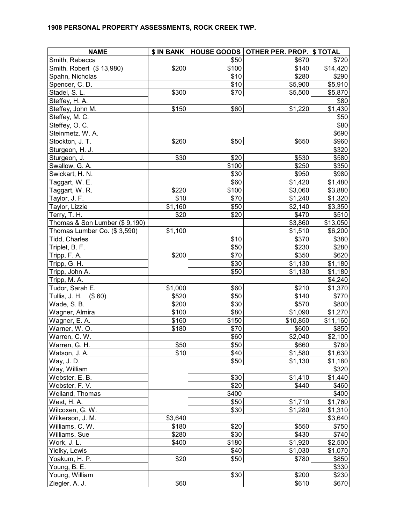| <b>NAME</b>                   |         |       | \$ IN BANK   HOUSE GOODS   OTHER PER. PROP. | \$TOTAL  |
|-------------------------------|---------|-------|---------------------------------------------|----------|
| Smith, Rebecca                |         | \$50  | \$670                                       | \$720    |
| Smith, Robert (\$ 13,980)     | \$200   | \$100 | \$140                                       | \$14,420 |
| Spahn, Nicholas               |         | \$10  | \$280                                       | \$290    |
| Spencer, C.D.                 |         | \$10  | \$5,900                                     | \$5,910  |
| Stadel, S. L.                 | \$300   | \$70  | \$5,500                                     | \$5,870  |
| Steffey, H. A.                |         |       |                                             | \$80     |
| Steffey, John M.              | \$150   | \$60  | \$1,220                                     | \$1,430  |
| Steffey, M. C.                |         |       |                                             | \$50     |
| Steffey, O. C.                |         |       |                                             | \$80     |
| Steinmetz, W. A.              |         |       |                                             | \$690    |
| Stockton, J. T.               | \$260   | \$50  | \$650                                       | \$960    |
| Sturgeon, H. J.               |         |       |                                             | \$320    |
| Sturgeon, J.                  | \$30    | \$20  | \$530                                       | \$580    |
| Swallow, G. A.                |         | \$100 | \$250                                       | \$350    |
| Swickart, H. N.               |         | \$30  | \$950                                       | \$980    |
| Taggart, W. E.                |         | \$60  | \$1,420                                     | \$1,480  |
| Taggart, W. R.                | \$220   | \$100 | \$3,060                                     | \$3,880  |
| Taylor, J. F.                 | \$10    | \$70  | \$1,240                                     | \$1,320  |
| Taylor, Lizzie                | \$1,160 | \$50  | \$2,140                                     | \$3,350  |
| Terry, T. H.                  | \$20    | \$20  | \$470                                       | \$510    |
| Thomas & Son Lumber (\$9,190) |         |       | \$3,860                                     | \$13,050 |
| Thomas Lumber Co. (\$3,590)   | \$1,100 |       | \$1,510                                     | \$6,200  |
| Tidd, Charles                 |         | \$10  | \$370                                       | \$380    |
| Triplet, B. F.                |         | \$50  | \$230                                       | \$280    |
| Tripp, F. A.                  | \$200   | \$70  | \$350                                       | \$620    |
| Tripp, G. H.                  |         | \$30  | \$1,130                                     | \$1,180  |
| Tripp, John A.                |         | \$50  | \$1,130                                     | \$1,180  |
| Tripp, M. A.                  |         |       |                                             | \$4,240  |
| Tudor, Sarah E.               | \$1,000 | \$60  | \$210                                       | \$1,370  |
| Tullis, J. H.<br>$($ \$60)    | \$520   | \$50  | \$140                                       | \$770    |
| Wade, S. B.                   | \$200   | \$30  | \$570                                       | \$800    |
| Wagner, Almira                | \$100   | \$80  | \$1,090                                     | \$1,270  |
| Wagner, E. A.                 | \$160   | \$150 | \$10,850                                    | \$11,160 |
| Warner, W.O.                  | \$180   | \$70  | \$600                                       | \$850    |
| Warren, C. W.                 |         | \$60  | \$2,040                                     | \$2,100  |
| Warren, G. H.                 | \$50    | \$50  | \$660                                       | \$760    |
| Watson, J. A.                 | \$10    | \$40  | \$1,580                                     | \$1,630  |
| Way, J.D.                     |         | \$50  | \$1,130                                     | \$1,180  |
| Way, William                  |         |       |                                             | \$320    |
| Webster, E. B.                |         | \$30  | \$1,410                                     | \$1,440  |
| Webster, F.V.                 |         | \$20  | \$440                                       | \$460    |
| Weiland, Thomas               |         | \$400 |                                             | \$400    |
| West, H. A.                   |         | \$50  | \$1,710                                     | \$1,760  |
| Wilcoxen, G. W.               |         | \$30  | \$1,280                                     | \$1,310  |
| Wilkerson, J. M.              | \$3,640 |       |                                             | \$3,640  |
| Williams, C. W.               | \$180   | \$20  | \$550                                       | \$750    |
| Williams, Sue                 | \$280   | \$30  | \$430                                       | \$740    |
| Work, J. L.                   | \$400   | \$180 | \$1,920                                     | \$2,500  |
| Yielky, Lewis                 |         | \$40  | \$1,030                                     | \$1,070  |
| Yoakum, H. P.                 | \$20    | \$50  | \$780                                       | \$850    |
| Young, B. E.                  |         |       |                                             | \$330    |
| Young, William                |         | \$30  | \$200                                       | \$230    |
| Ziegler, A. J.                | \$60    |       | \$610                                       | \$670    |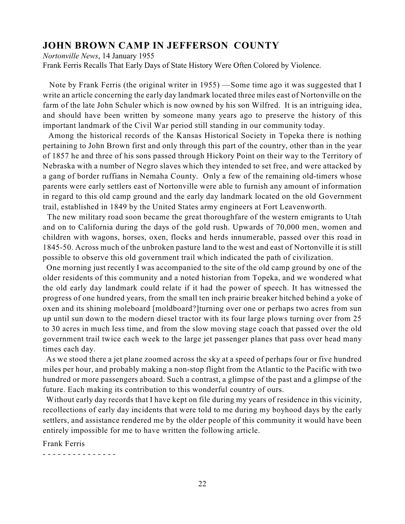# **JOHN BROWN CAMP IN JEFFERSON COUNTY**

*Nortonville News*, 14 January 1955

Frank Ferris Recalls That Early Days of State History Were Often Colored by Violence.

Note by Frank Ferris (the original writer in 1955) —Some time ago it was suggested that I write an article concerning the early day landmark located three miles east of Nortonville on the farm of the late John Schuler which is now owned by his son Wilfred. It is an intriguing idea, and should have been written by someone many years ago to preserve the history of this important landmark of the Civil War period still standing in our community today.

 Among the historical records of the Kansas Historical Society in Topeka there is nothing pertaining to John Brown first and only through this part of the country, other than in the year of 1857 he and three of his sons passed through Hickory Point on their way to the Territory of Nebraska with a number of Negro slaves which they intended to set free, and were attacked by a gang of border ruffians in Nemaha County. Only a few of the remaining old-timers whose parents were early settlers east of Nortonville were able to furnish any amount of information in regard to this old camp ground and the early day landmark located on the old Government trail, established in 1849 by the United States army engineers at Fort Leavenworth.

The new military road soon became the great thoroughfare of the western emigrants to Utah and on to California during the days of the gold rush. Upwards of 70,000 men, women and children with wagons, horses, oxen, flocks and herds innumerable, passed over this road in 1845-50. Across much of the unbroken pasture land to the west and east of Nortonville it is still possible to observe this old government trail which indicated the path of civilization.

 One morning just recently I was accompanied to the site of the old camp ground by one of the older residents of this community and a noted historian from Topeka, and we wondered what the old early day landmark could relate if it had the power of speech. It has witnessed the progress of one hundred years, from the small ten inch prairie breaker hitched behind a yoke of oxen and its shining moleboard [moldboard?]turning over one or perhaps two acres from sun up until sun down to the modern diesel tractor with its four large plows turning over from 25 to 30 acres in much less time, and from the slow moving stage coach that passed over the old government trail twice each week to the large jet passenger planes that pass over head many times each day.

 As we stood there a jet plane zoomed across the sky at a speed of perhaps four or five hundred miles per hour, and probably making a non-stop flight from the Atlantic to the Pacific with two hundred or more passengers aboard. Such a contrast, a glimpse of the past and a glimpse of the future. Each making its contribution to this wonderful country of ours.

 Without early day records that I have kept on file during my years of residence in this vicinity, recollections of early day incidents that were told to me during my boyhood days by the early settlers, and assistance rendered me by the older people of this community it would have been entirely impossible for me to have written the following article.

Frank Ferris

- - - - - - - - - - - - - - -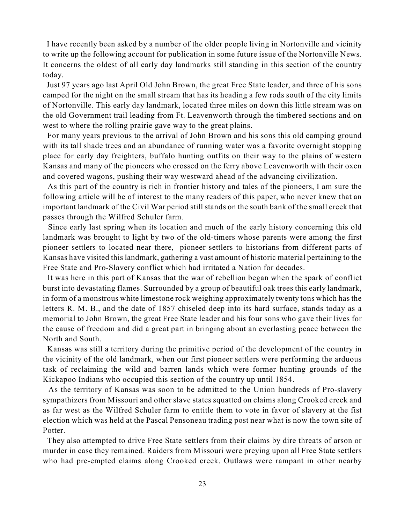I have recently been asked by a number of the older people living in Nortonville and vicinity to write up the following account for publication in some future issue of the Nortonville News. It concerns the oldest of all early day landmarks still standing in this section of the country today.

 Just 97 years ago last April Old John Brown, the great Free State leader, and three of his sons camped for the night on the small stream that has its heading a few rods south of the city limits of Nortonville. This early day landmark, located three miles on down this little stream was on the old Government trail leading from Ft. Leavenworth through the timbered sections and on west to where the rolling prairie gave way to the great plains.

 For many years previous to the arrival of John Brown and his sons this old camping ground with its tall shade trees and an abundance of running water was a favorite overnight stopping place for early day freighters, buffalo hunting outfits on their way to the plains of western Kansas and many of the pioneers who crossed on the ferry above Leavenworth with their oxen and covered wagons, pushing their way westward ahead of the advancing civilization.

 As this part of the country is rich in frontier history and tales of the pioneers, I am sure the following article will be of interest to the many readers of this paper, who never knew that an important landmark of the Civil War period still stands on the south bank of the small creek that passes through the Wilfred Schuler farm.

 Since early last spring when its location and much of the early history concerning this old landmark was brought to light by two of the old-timers whose parents were among the first pioneer settlers to located near there, pioneer settlers to historians from different parts of Kansas have visited this landmark, gathering a vast amount of historic material pertaining to the Free State and Pro-Slavery conflict which had irritated a Nation for decades.

 It was here in this part of Kansas that the war of rebellion began when the spark of conflict burst into devastating flames. Surrounded by a group of beautiful oak trees this early landmark, in form of a monstrous white limestone rock weighing approximately twenty tons which has the letters R. M. B., and the date of 1857 chiseled deep into its hard surface, stands today as a memorial to John Brown, the great Free State leader and his four sons who gave their lives for the cause of freedom and did a great part in bringing about an everlasting peace between the North and South.

 Kansas was still a territory during the primitive period of the development of the country in the vicinity of the old landmark, when our first pioneer settlers were performing the arduous task of reclaiming the wild and barren lands which were former hunting grounds of the Kickapoo Indians who occupied this section of the country up until 1854.

 As the territory of Kansas was soon to be admitted to the Union hundreds of Pro-slavery sympathizers from Missouri and other slave states squatted on claims along Crooked creek and as far west as the Wilfred Schuler farm to entitle them to vote in favor of slavery at the fist election which was held at the Pascal Pensoneau trading post near what is now the town site of Potter.

 They also attempted to drive Free State settlers from their claims by dire threats of arson or murder in case they remained. Raiders from Missouri were preying upon all Free State settlers who had pre-empted claims along Crooked creek. Outlaws were rampant in other nearby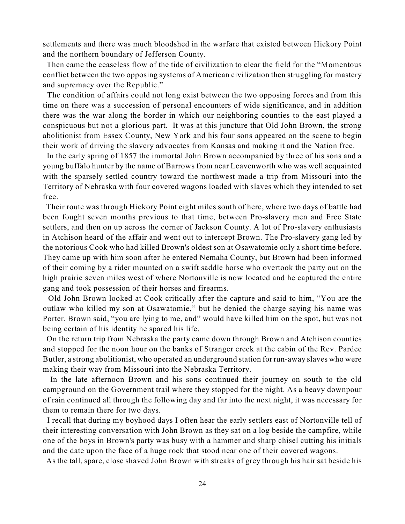settlements and there was much bloodshed in the warfare that existed between Hickory Point and the northern boundary of Jefferson County.

 Then came the ceaseless flow of the tide of civilization to clear the field for the "Momentous conflict between the two opposing systems of American civilization then struggling for mastery and supremacy over the Republic."

 The condition of affairs could not long exist between the two opposing forces and from this time on there was a succession of personal encounters of wide significance, and in addition there was the war along the border in which our neighboring counties to the east played a conspicuous but not a glorious part. It was at this juncture that Old John Brown, the strong abolitionist from Essex County, New York and his four sons appeared on the scene to begin their work of driving the slavery advocates from Kansas and making it and the Nation free.

 In the early spring of 1857 the immortal John Brown accompanied by three of his sons and a young buffalo hunter by the name of Barrows from near Leavenworth who was well acquainted with the sparsely settled country toward the northwest made a trip from Missouri into the Territory of Nebraska with four covered wagons loaded with slaves which they intended to set free.

 Their route was through Hickory Point eight miles south of here, where two days of battle had been fought seven months previous to that time, between Pro-slavery men and Free State settlers, and then on up across the corner of Jackson County. A lot of Pro-slavery enthusiasts in Atchison heard of the affair and went out to intercept Brown. The Pro-slavery gang led by the notorious Cook who had killed Brown's oldest son at Osawatomie only a short time before. They came up with him soon after he entered Nemaha County, but Brown had been informed of their coming by a rider mounted on a swift saddle horse who overtook the party out on the high prairie seven miles west of where Nortonville is now located and he captured the entire gang and took possession of their horses and firearms.

 Old John Brown looked at Cook critically after the capture and said to him, "You are the outlaw who killed my son at Osawatomie," but he denied the charge saying his name was Porter. Brown said, "you are lying to me, and" would have killed him on the spot, but was not being certain of his identity he spared his life.

 On the return trip from Nebraska the party came down through Brown and Atchison counties and stopped for the noon hour on the banks of Stranger creek at the cabin of the Rev. Pardee Butler, a strong abolitionist, who operated an underground station for run-away slaves who were making their way from Missouri into the Nebraska Territory.

 In the late afternoon Brown and his sons continued their journey on south to the old campground on the Government trail where they stopped for the night. As a heavy downpour of rain continued all through the following day and far into the next night, it was necessary for them to remain there for two days.

 I recall that during my boyhood days I often hear the early settlers east of Nortonville tell of their interesting conversation with John Brown as they sat on a log beside the campfire, while one of the boys in Brown's party was busy with a hammer and sharp chisel cutting his initials and the date upon the face of a huge rock that stood near one of their covered wagons.

As the tall, spare, close shaved John Brown with streaks of grey through his hair sat beside his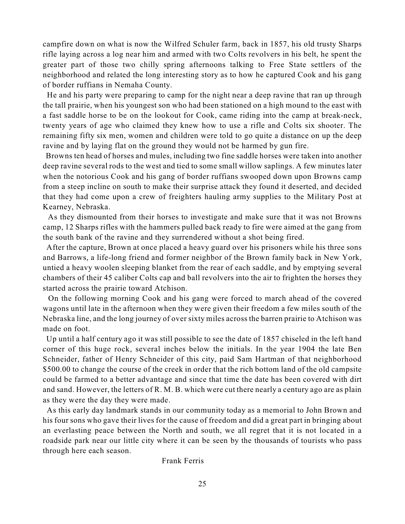campfire down on what is now the Wilfred Schuler farm, back in 1857, his old trusty Sharps rifle laying across a log near him and armed with two Colts revolvers in his belt, he spent the greater part of those two chilly spring afternoons talking to Free State settlers of the neighborhood and related the long interesting story as to how he captured Cook and his gang of border ruffians in Nemaha County.

 He and his party were preparing to camp for the night near a deep ravine that ran up through the tall prairie, when his youngest son who had been stationed on a high mound to the east with a fast saddle horse to be on the lookout for Cook, came riding into the camp at break-neck, twenty years of age who claimed they knew how to use a rifle and Colts six shooter. The remaining fifty six men, women and children were told to go quite a distance on up the deep ravine and by laying flat on the ground they would not be harmed by gun fire.

 Browns ten head of horses and mules, including two fine saddle horses were taken into another deep ravine several rods to the west and tied to some small willow saplings. A few minutes later when the notorious Cook and his gang of border ruffians swooped down upon Browns camp from a steep incline on south to make their surprise attack they found it deserted, and decided that they had come upon a crew of freighters hauling army supplies to the Military Post at Kearney, Nebraska.

 As they dismounted from their horses to investigate and make sure that it was not Browns camp, 12 Sharps rifles with the hammers pulled back ready to fire were aimed at the gang from the south bank of the ravine and they surrendered without a shot being fired.

 After the capture, Brown at once placed a heavy guard over his prisoners while his three sons and Barrows, a life-long friend and former neighbor of the Brown family back in New York, untied a heavy woolen sleeping blanket from the rear of each saddle, and by emptying several chambers of their 45 caliber Colts cap and ball revolvers into the air to frighten the horses they started across the prairie toward Atchison.

 On the following morning Cook and his gang were forced to march ahead of the covered wagons until late in the afternoon when they were given their freedom a few miles south of the Nebraska line, and the long journey of over sixty miles across the barren prairie to Atchison was made on foot.

 Up until a half century ago it was still possible to see the date of 1857 chiseled in the left hand corner of this huge rock, several inches below the initials. In the year 1904 the late Ben Schneider, father of Henry Schneider of this city, paid Sam Hartman of that neighborhood \$500.00 to change the course of the creek in order that the rich bottom land of the old campsite could be farmed to a better advantage and since that time the date has been covered with dirt and sand. However, the letters of R. M. B. which were cut there nearly a century ago are as plain as they were the day they were made.

 As this early day landmark stands in our community today as a memorial to John Brown and his four sons who gave their lives for the cause of freedom and did a great part in bringing about an everlasting peace between the North and south, we all regret that it is not located in a roadside park near our little city where it can be seen by the thousands of tourists who pass through here each season.

#### Frank Ferris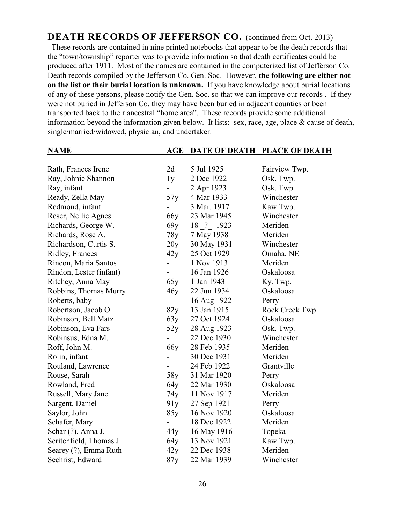**DEATH RECORDS OF JEFFERSON CO.** (continued from Oct. 2013) These records are contained in nine printed notebooks that appear to be the death records that the "town/township" reporter was to provide information so that death certificates could be produced after 1911. Most of the names are contained in the computerized list of Jefferson Co. Death records compiled by the Jefferson Co. Gen. Soc. However, **the following are either not on the list or their burial location is unknown.** If you have knowledge about burial locations of any of these persons, please notify the Gen. Soc. so that we can improve our records . If they were not buried in Jefferson Co. they may have been buried in adjacent counties or been transported back to their ancestral "home area". These records provide some additional information beyond the information given below. It lists: sex, race, age, place & cause of death, single/married/widowed, physician, and undertaker.

| <b>NAME</b>             | AGE             | <b>DATE OF DEATH</b> | <b>PLACE OF DEATH</b> |
|-------------------------|-----------------|----------------------|-----------------------|
|                         |                 |                      |                       |
| Rath, Frances Irene     | 2d              | 5 Jul 1925           | Fairview Twp.         |
| Ray, Johnie Shannon     | 1y              | 2 Dec 1922           | Osk. Twp.             |
| Ray, infant             |                 | 2 Apr 1923           | Osk. Twp.             |
| Ready, Zella May        | 57y             | 4 Mar 1933           | Winchester            |
| Redmond, infant         |                 | 3 Mar. 1917          | Kaw Twp.              |
| Reser, Nellie Agnes     | 66 <sub>y</sub> | 23 Mar 1945          | Winchester            |
| Richards, George W.     | 69y             | 18 ? 1923            | Meriden               |
| Richards, Rose A.       | 78y             | 7 May 1938           | Meriden               |
| Richardson, Curtis S.   | 20y             | 30 May 1931          | Winchester            |
| Ridley, Frances         | 42y             | 25 Oct 1929          | Omaha, NE             |
| Rincon, Maria Santos    |                 | 1 Nov 1913           | Meriden               |
| Rindon, Lester (infant) |                 | 16 Jan 1926          | Oskaloosa             |
| Ritchey, Anna May       | 65y             | 1 Jan 1943           | Ky. Twp.              |
| Robbins, Thomas Murry   | 46y             | 22 Jun 1934          | Oskaloosa             |
| Roberts, baby           |                 | 16 Aug 1922          | Perry                 |
| Robertson, Jacob O.     | 82y             | 13 Jan 1915          | Rock Creek Twp.       |
| Robinson, Bell Matz     | 63y             | 27 Oct 1924          | Oskaloosa             |
| Robinson, Eva Fars      | 52y             | 28 Aug 1923          | Osk. Twp.             |
| Robinsus, Edna M.       |                 | 22 Dec 1930          | Winchester            |
| Roff, John M.           | <b>66y</b>      | 28 Feb 1935          | Meriden               |
| Rolin, infant           |                 | 30 Dec 1931          | Meriden               |
| Rouland, Lawrence       |                 | 24 Feb 1922          | Grantville            |
| Rouse, Sarah            | 58y             | 31 Mar 1920          | Perry                 |
| Rowland, Fred           | 64y             | 22 Mar 1930          | Oskaloosa             |
| Russell, Mary Jane      | 74y             | 11 Nov 1917          | Meriden               |
| Sargent, Daniel         | 91y             | 27 Sep 1921          | Perry                 |
| Saylor, John            | 85y             | 16 Nov 1920          | Oskaloosa             |
| Schafer, Mary           |                 | 18 Dec 1922          | Meriden               |
| Schar (?), Anna J.      | 44y             | 16 May 1916          | Topeka                |
| Scritchfield, Thomas J. | 64y             | 13 Nov 1921          | Kaw Twp.              |
| Searey (?), Emma Ruth   | 42y             | 22 Dec 1938          | Meriden               |
| Sechrist, Edward        | 87y             | 22 Mar 1939          | Winchester            |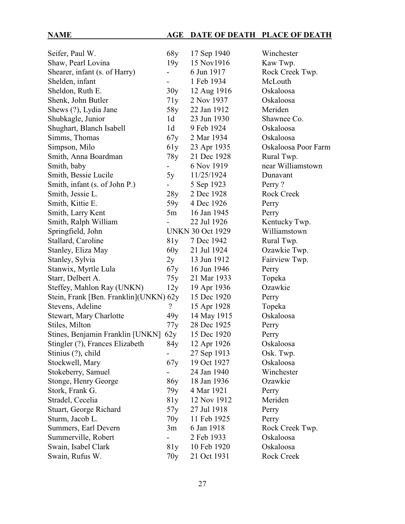# **NAME AGE DATE OF DEATH PLACE OF DEATH**

| Seifer, Paul W.                        | 68y            | 17 Sep 1940             | Winchester          |
|----------------------------------------|----------------|-------------------------|---------------------|
| Shaw, Pearl Lovina                     | 19y            | 15 Nov1916              | Kaw Twp.            |
| Shearer, infant (s. of Harry)          |                | 6 Jun 1917              | Rock Creek Twp.     |
| Shelden, infant                        |                | 1 Feb 1934              | McLouth             |
| Sheldon, Ruth E.                       | 30y            | 12 Aug 1916             | Oskaloosa           |
| Shenk, John Butler                     | 71y            | 2 Nov 1937              | Oskaloosa           |
| Shews (?), Lydia Jane                  | 58y            | 22 Jan 1912             | Meriden             |
| Shubkagle, Junior                      | 1 <sub>d</sub> | 23 Jun 1930             | Shawnee Co.         |
| Shughart, Blanch Isabell               | 1 <sub>d</sub> | 9 Feb 1924              | Oskaloosa           |
| Simms, Thomas                          | 67y            | 2 Mar 1934              | Oskaloosa           |
| Simpson, Milo                          | 61y            | 23 Apr 1935             | Oskaloosa Poor Farm |
| Smith, Anna Boardman                   | 78y            | 21 Dec 1928             | Rural Twp.          |
| Smith, baby                            |                | 6 Nov 1919              | near Williamstown   |
| Smith, Bessie Lucile                   | 5y             | 11/25/1924              | Dunavant            |
| Smith, infant (s. of John P.)          |                | 5 Sep 1923              | Perry?              |
| Smith, Jessie L.                       | 28y            | 2 Dec 1928              | <b>Rock Creek</b>   |
| Smith, Kittie E.                       | 59y            | 4 Dec 1926              | Perry               |
| Smith, Larry Kent                      | 5m             | 16 Jan 1945             | Perry               |
| Smith, Ralph William                   |                | 22 Jul 1926             | Kentucky Twp.       |
| Springfield, John                      |                | <b>UNKN 30 Oct 1929</b> | Williamstown        |
| Stallard, Caroline                     | 81y            | 7 Dec 1942              | Rural Twp.          |
| Stanley, Eliza May                     | 60y            | 21 Jul 1924             | Ozawkie Twp.        |
| Stanley, Sylvia                        | 2y             | 13 Jun 1912             | Fairview Twp.       |
| Stanwix, Myrtle Lula                   | 67y            | 16 Jun 1946             | Perry               |
| Starr, Delbert A.                      | 75y            | 21 Mar 1933             | Topeka              |
| Steffey, Mahlon Ray (UNKN)             | 12y            | 19 Apr 1936             | Ozawkie             |
| Stein, Frank [Ben. Franklin](UNKN) 62y |                | 15 Dec 1920             | Perry               |
| Stevens, Adeline                       | ?              | 15 Apr 1928             | Topeka              |
| <b>Stewart, Mary Charlotte</b>         | 49y            | 14 May 1915             | Oskaloosa           |
| Stiles, Milton                         | 77y            | 28 Dec 1925             | Perry               |
| Stines, Benjamin Franklin [UNKN]       | 62y            | 15 Dec 1920             | Perry               |
| Stingler (?), Frances Elizabeth        | 84y            | 12 Apr 1926             | Oskaloosa           |
| Stinius (?), child                     |                | 27 Sep 1913             | Osk. Twp.           |
| Stockwell, Mary                        | 67y            | 19 Oct 1927             | Oskaloosa           |
| Stokeberry, Samuel                     |                | 24 Jan 1940             | Winchester          |
| Stonge, Henry George                   | 86y            | 18 Jan 1936             | Ozawkie             |
| Stork, Frank G.                        | 79y            | 4 Mar 1921              | Perry               |
| Stradel, Cecelia                       | 81y            | 12 Nov 1912             | Meriden             |
| Stuart, George Richard                 | 57y            | 27 Jul 1918             | Perry               |
| Sturm, Jacob L.                        | 70y            | 11 Feb 1925             | Perry               |
| Summers, Earl Devern                   | 3m             | 6 Jan 1918              | Rock Creek Twp.     |
| Summerville, Robert                    |                | 2 Feb 1933              | Oskaloosa           |
| Swain, Isabel Clark                    | 81y            | 10 Feb 1920             | Oskaloosa           |
| Swain, Rufus W.                        | 70y            | 21 Oct 1931             | Rock Creek          |
|                                        |                |                         |                     |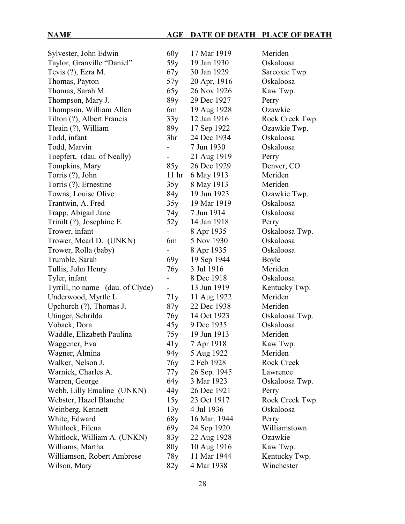# **NAME AGE DATE OF DEATH PLACE OF DEATH**

| Sylvester, John Edwin            | 60y                      | 17 Mar 1919  | Meriden           |
|----------------------------------|--------------------------|--------------|-------------------|
| Taylor, Granville "Daniel"       | 59y                      | 19 Jan 1930  | Oskaloosa         |
| Tevis (?), Ezra M.               | 67y                      | 30 Jan 1929  | Sarcoxie Twp.     |
| Thomas, Payton                   | 57y                      | 20 Apr, 1916 | Oskaloosa         |
| Thomas, Sarah M.                 | 65y                      | 26 Nov 1926  | Kaw Twp.          |
| Thompson, Mary J.                | 89y                      | 29 Dec 1927  | Perry             |
| Thompson, William Allen          | 6m                       | 19 Aug 1928  | Ozawkie           |
| Tilton (?), Albert Francis       | 33y                      | 12 Jan 1916  | Rock Creek Twp.   |
| Tleain (?), William              | 89y                      | 17 Sep 1922  | Ozawkie Twp.      |
| Todd, infant                     | 3 <sub>hr</sub>          | 24 Dec 1934  | Oskaloosa         |
| Todd, Marvin                     |                          | 7 Jun 1930   | Oskaloosa         |
| Toepfert, (dau. of Neally)       | $\overline{\phantom{0}}$ | 21 Aug 1919  | Perry             |
| Tompkins, Mary                   | 85y                      | 26 Dec 1929  | Denver, CO.       |
| Torris (?), John                 | 11 <sup>hr</sup>         | 6 May 1913   | Meriden           |
| Torris (?), Ernestine            | 35y                      | 8 May 1913   | Meriden           |
| Towns, Louise Olive              | 84y                      | 19 Jun 1923  | Ozawkie Twp.      |
| Trantwin, A. Fred                | 35y                      | 19 Mar 1919  | Oskaloosa         |
| Trapp, Abigail Jane              | 74y                      | 7 Jun 1914   | Oskaloosa         |
| Trinilt (?), Josephine E.        | 52y                      | 14 Jan 1918  | Perry             |
| Trower, infant                   |                          | 8 Apr 1935   | Oskaloosa Twp.    |
| Trower, Mearl D. (UNKN)          | 6m                       | 5 Nov 1930   | Oskaloosa         |
| Trower, Rolla (baby)             | $\overline{\phantom{0}}$ | 8 Apr 1935   | Oskaloosa         |
| Trumble, Sarah                   | 69y                      | 19 Sep 1944  | Boyle             |
| Tullis, John Henry               | 76y                      | 3 Jul 1916   | Meriden           |
| Tyler, infant                    |                          | 8 Dec 1918   | Oskaloosa         |
| Tyrrill, no name (dau. of Clyde) | $\blacksquare$           | 13 Jun 1919  | Kentucky Twp.     |
| Underwood, Myrtle L.             | 71y                      | 11 Aug 1922  | Meriden           |
| Upchurch (?), Thomas J.          | 87y                      | 22 Dec 1938  | Meriden           |
| Utinger, Schrilda                | 76y                      | 14 Oct 1923  | Oskaloosa Twp.    |
| Voback, Dora                     | 45y                      | 9 Dec 1935   | Oskaloosa         |
| Waddle, Elizabeth Paulina        | 75y                      | 19 Jun 1913  | Meriden           |
| Waggener, Eva                    | 41y                      | 7 Apr 1918   | Kaw Twp.          |
| Wagner, Almina                   | 94y                      | 5 Aug 1922   | Meriden           |
| Walker, Nelson J.                | 76y                      | 2 Feb 1928   | <b>Rock Creek</b> |
| Warnick, Charles A.              | 77y                      | 26 Sep. 1945 | Lawrence          |
| Warren, George                   | 64y                      | 3 Mar 1923   | Oskaloosa Twp.    |
| Webb, Lilly Emaline (UNKN)       | 44 y                     | 26 Dec 1921  | Perry             |
| Webster, Hazel Blanche           | 15y                      | 23 Oct 1917  | Rock Creek Twp.   |
| Weinberg, Kennett                | 13y                      | 4 Jul 1936   | Oskaloosa         |
| White, Edward                    | 68y                      | 16 Mar. 1944 | Perry             |
| Whitlock, Filena                 | 69y                      | 24 Sep 1920  | Williamstown      |
| Whitlock, William A. (UNKN)      | 83y                      | 22 Aug 1928  | Ozawkie           |
| Williams, Martha                 | 80y                      | 10 Aug 1916  | Kaw Twp.          |
| Williamson, Robert Ambrose       | 78y                      | 11 Mar 1944  | Kentucky Twp.     |
| Wilson, Mary                     | 82y                      | 4 Mar 1938   | Winchester        |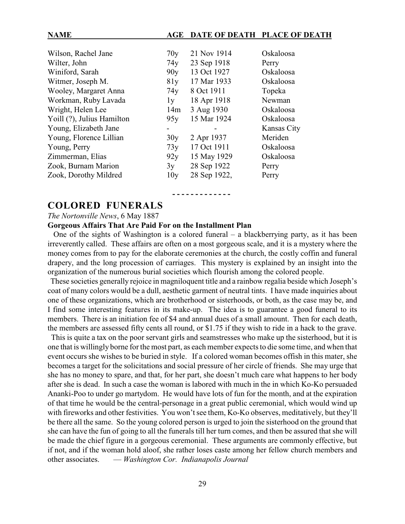#### **NAME AGE DATE OF DEATH PLACE OF DEATH**

| Wilson, Rachel Jane        | 70y | 21 Nov 1914  | Oskaloosa   |
|----------------------------|-----|--------------|-------------|
| Wilter, John               | 74y | 23 Sep 1918  | Perry       |
| Winiford, Sarah            | 90y | 13 Oct 1927  | Oskaloosa   |
| Witmer, Joseph M.          | 81y | 17 Mar 1933  | Oskaloosa   |
| Wooley, Margaret Anna      | 74y | 8 Oct 1911   | Topeka      |
| Workman, Ruby Lavada       | 1y  | 18 Apr 1918  | Newman      |
| Wright, Helen Lee          | 14m | 3 Aug 1930   | Oskaloosa   |
| Yoill (?), Julius Hamilton | 95y | 15 Mar 1924  | Oskaloosa   |
| Young, Elizabeth Jane      |     |              | Kansas City |
| Young, Florence Lillian    | 30y | 2 Apr 1937   | Meriden     |
| Young, Perry               | 73y | 17 Oct 1911  | Oskaloosa   |
| Zimmerman, Elias           | 92y | 15 May 1929  | Oskaloosa   |
| Zook, Burnam Marion        | 3y  | 28 Sep 1922  | Perry       |
| Zook, Dorothy Mildred      | 10y | 28 Sep 1922, | Perry       |
|                            |     |              |             |

### **COLORED FUNERALS**

#### *The Nortonville News*, 6 May 1887

#### **Gorgeous Affairs That Are Paid For on the Installment Plan**

One of the sights of Washington is a colored funeral  $-$  a blackberrying party, as it has been irreverently called. These affairs are often on a most gorgeous scale, and it is a mystery where the money comes from to pay for the elaborate ceremonies at the church, the costly coffin and funeral drapery, and the long procession of carriages. This mystery is explained by an insight into the organization of the numerous burial societies which flourish among the colored people.

**- - - - - - - - - - - - -** 

 These societies generally rejoice in magniloquent title and a rainbow regalia beside which Joseph's coat of many colors would be a dull, aesthetic garment of neutral tints. I have made inquiries about one of these organizations, which are brotherhood or sisterhoods, or both, as the case may be, and I find some interesting features in its make-up. The idea is to guarantee a good funeral to its members. There is an initiation fee of \$4 and annual dues of a small amount. Then for each death, the members are assessed fifty cents all round, or \$1.75 if they wish to ride in a hack to the grave.

 This is quite a tax on the poor servant girls and seamstresses who make up the sisterhood, but it is one that is willingly borne for the most part, as each member expects to die some time, and when that event occurs she wishes to be buried in style. If a colored woman becomes offish in this mater, she becomes a target for the solicitations and social pressure of her circle of friends. She may urge that she has no money to spare, and that, for her part, she doesn't much care what happens to her body after she is dead. In such a case the woman is labored with much in the in which Ko-Ko persuaded Ananki-Poo to under go martydom. He would have lots of fun for the month, and at the expiration of that time he would be the central-personage in a great public ceremonial, which would wind up with fireworks and other festivities. You won't see them, Ko-Ko observes, meditatively, but they'll be there all the same. So the young colored person is urged to join the sisterhood on the ground that she can have the fun of going to all the funerals till her turn comes, and then be assured that she will be made the chief figure in a gorgeous ceremonial. These arguments are commonly effective, but if not, and if the woman hold aloof, she rather loses caste among her fellow church members and other associates. — *Washington Cor. Indianapolis Journal*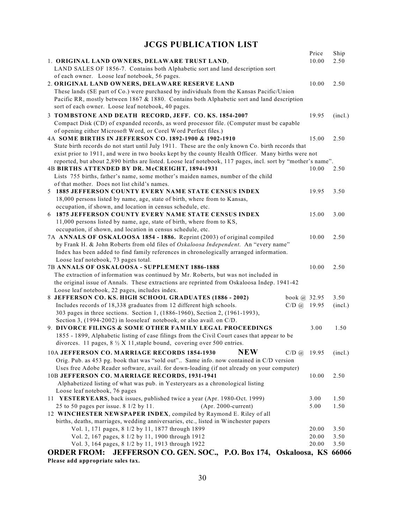# **JCGS PUBLICATION LIST**

|                                                                                                                                  | Price        | Ship         |
|----------------------------------------------------------------------------------------------------------------------------------|--------------|--------------|
| 1. ORIGINAL LAND OWNERS, DELAWARE TRUST LAND,                                                                                    | 10.00        | 2.50         |
| LAND SALES OF 1856-7. Contains both Alphabetic sort and land description sort                                                    |              |              |
| of each owner. Loose leaf notebook, 56 pages.                                                                                    |              |              |
| 2. ORIGINAL LAND OWNERS, DELAWARE RESERVE LAND                                                                                   | 10.00        | 2.50         |
| These lands (SE part of Co.) were purchased by individuals from the Kansas Pacific/Union                                         |              |              |
| Pacific RR, mostly between 1867 & 1880. Contains both Alphabetic sort and land description                                       |              |              |
| sort of each owner. Loose leaf notebook, 40 pages.                                                                               |              |              |
| 3 TOMBSTONE AND DEATH RECORD, JEFF. CO. KS. 1854-2007                                                                            | 19.95        | (incl.)      |
| Compact Disk (CD) of expanded records, as word processor file. (Computer must be capable                                         |              |              |
| of opening either Microsoft Word, or Corel Word Perfect files.)                                                                  |              |              |
| 4A SOME BIRTHS IN JEFFERSON CO. 1892-1900 & 1902-1910                                                                            | 15.00        | 2.50         |
| State birth records do not start until July 1911. These are the only known Co. birth records that                                |              |              |
| exist prior to 1911, and were in two books kept by the county Health Officer. Many births were not                               |              |              |
| reported, but about 2,890 births are listed. Loose leaf notebook, 117 pages, incl. sort by "mother's name".                      |              |              |
| 4B BIRTHS ATTENDED BY DR. McCREIGHT, 1894-1931                                                                                   | 10.00        | 2.50         |
| Lists 755 births, father's name, some mother's maiden names, number of the child<br>of that mother. Does not list child's names. |              |              |
| 5 1885 JEFFERSON COUNTY EVERY NAME STATE CENSUS INDEX                                                                            | 19.95        | 3.50         |
| 18,000 persons listed by name, age, state of birth, where from to Kansas,                                                        |              |              |
| occupation, if shown, and location in census schedule, etc.                                                                      |              |              |
| 6 1875 JEFFERSON COUNTY EVERY NAME STATE CENSUS INDEX                                                                            | 15.00        | 3.00         |
| 11,000 persons listed by name, age, state of birth, where from to KS,                                                            |              |              |
| occupation, if shown, and location in census schedule, etc.                                                                      |              |              |
| 7A ANNALS OF OSKALOOSA 1854 - 1886. Reprint (2003) of original compiled                                                          | 10.00        | 2.50         |
| by Frank H. & John Roberts from old files of Oskaloosa Independent. An "every name"                                              |              |              |
| Index has been added to find family references in chronologically arranged information.                                          |              |              |
| Loose leaf notebook, 73 pages total.                                                                                             |              |              |
| 7B ANNALS OF OSKALOOSA - SUPPLEMENT 1886-1888                                                                                    | 10.00        | 2.50         |
| The extraction of information was continued by Mr. Roberts, but was not included in                                              |              |              |
| the original issue of Annals. These extractions are reprinted from Oskaloosa Indep. 1941-42                                      |              |              |
| Loose leaf notebook, 22 pages, includes index.                                                                                   |              |              |
| 8 JEFFERSON CO. KS. HIGH SCHOOL GRADUATES (1886 - 2002)<br>book @ 32.95                                                          |              | 3.50         |
| Includes records of 18,338 graduates from 12 different high schools.<br>$C/D$ (a) 19.95                                          |              | (incl.)      |
| 303 pages in three sections. Section 1, (1886-1960), Section 2, (1961-1993),                                                     |              |              |
| Section 3, (1994-2002) in looseleaf notebook, or also avail. on C/D.                                                             |              |              |
| 9. DIVORCE FILINGS & SOME OTHER FAMILY LEGAL PROCEEDINGS                                                                         | 3.00         | 1.50         |
| 1855 - 1899, Alphabetic listing of case filings from the Civil Court cases that appear to be                                     |              |              |
| divorces. 11 pages, $8\frac{1}{2}$ X 11, staple bound, covering over 500 entries.                                                |              |              |
| <b>NEW</b><br>10A JEFFERSON CO. MARRIAGE RECORDS 1854-1930<br>$C/D$ $\omega$                                                     | 19.95        | (incl.)      |
| Orig. Pub. as 453 pg. book that was "sold out" Same info. now contained in C/D version                                           |              |              |
| Uses free Adobe Reader software, avail. for down-loading (if not already on your computer)                                       |              |              |
| 10B JEFFERSON CO. MARRIAGE RECORDS, 1931-1941                                                                                    | 10.00        | 2.50         |
| Alphabetized listing of what was pub. in Yesteryears as a chronological listing                                                  |              |              |
| Loose leaf notebook, 76 pages<br>11 YESTERYEARS, back issues, published twice a year (Apr. 1980-Oct. 1999)                       |              |              |
| 25 to 50 pages per issue. 8 1/2 by 11.<br>$(Apr. 2000$ -current)                                                                 | 3.00<br>5.00 | 1.50<br>1.50 |
| 12 WINCHESTER NEWSPAPER INDEX, compiled by Raymond E. Riley of all                                                               |              |              |
| births, deaths, marriages, wedding anniversaries, etc., listed in Winchester papers                                              |              |              |
| Vol. 1, 171 pages, 8 1/2 by 11, 1877 through 1899                                                                                | 20.00        | 3.50         |
| Vol. 2, 167 pages, 8 1/2 by 11, 1900 through 1912                                                                                | 20.00        | 3.50         |
| Vol. 3, 164 pages, 8 1/2 by 11, 1913 through 1922                                                                                | 20.00        | 3.50         |
| JEFFERSON CO. GEN. SOC., P.O. Box 174, Oskaloosa, KS<br><b>ORDER FROM:</b>                                                       |              | 66066        |
| Dlogge add annropriate sales tax                                                                                                 |              |              |

**Please add appropriate sales tax.**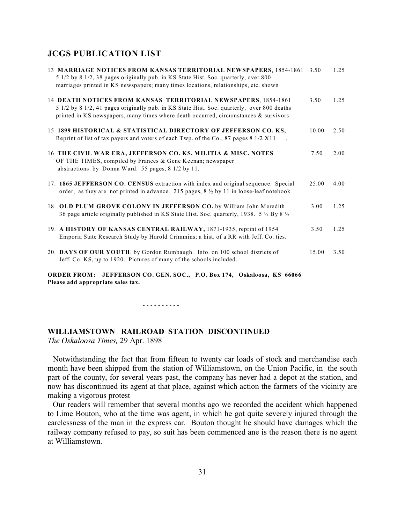#### **JCGS PUBLICATION LIST**

| 13 MARRIAGE NOTICES FROM KANSAS TERRITORIAL NEWSPAPERS, 1854-1861<br>5 1/2 by 8 1/2, 38 pages originally pub. in KS State Hist. Soc. quarterly, over 800<br>marriages printed in KS newspapers; many times locations, relationships, etc. shown         | 3.50  | 1.25 |
|---------------------------------------------------------------------------------------------------------------------------------------------------------------------------------------------------------------------------------------------------------|-------|------|
| 14 DEATH NOTICES FROM KANSAS TERRITORIAL NEWSPAPERS, 1854-1861<br>5 1/2 by 8 1/2, 41 pages originally pub. in KS State Hist. Soc. quarterly, over 800 deaths<br>printed in KS newspapers, many times where death occurred, circumstances $\&$ survivors | 3.50  | 1.25 |
| 15 1899 HISTORICAL & STATISTICAL DIRECTORY OF JEFFERSON CO. KS,<br>Reprint of list of tax payers and voters of each Twp. of the Co., 87 pages 8 1/2 X11                                                                                                 | 10.00 | 2.50 |
| 16 THE CIVIL WAR ERA, JEFFERSON CO. KS, MILITIA & MISC. NOTES<br>OF THE TIMES, compiled by Frances & Gene Keenan; newspaper<br>abstractions by Donna Ward. 55 pages, 8 1/2 by 11.                                                                       | 7.50  | 2.00 |
| 17. 1865 JEFFERSON CO. CENSUS extraction with index and original sequence. Special<br>order, as they are not printed in advance. 215 pages, $8\frac{1}{2}$ by 11 in loose-leaf notebook                                                                 | 25.00 | 4.00 |
| 18. OLD PLUM GROVE COLONY IN JEFFERSON CO. by William John Meredith<br>36 page article originally published in KS State Hist. Soc. quarterly, 1938. 5 $\frac{1}{2}$ By 8 $\frac{1}{2}$                                                                  | 3.00  | 1.25 |
| 19. A HISTORY OF KANSAS CENTRAL RAILWAY, 1871-1935, reprint of 1954<br>Emporia State Research Study by Harold Crimmins; a hist. of a RR with Jeff. Co. ties.                                                                                            | 3.50  | 1.25 |
| 20. DAYS OF OUR YOUTH, by Gordon Rumbaugh. Info. on 100 school districts of<br>Jeff. Co. KS, up to 1920. Pictures of many of the schools included.                                                                                                      | 15.00 | 3.50 |

**ORDER FROM: JEFFERSON CO. GEN. SOC., P.O. Box 174, Oskaloosa, KS 66066 Please add appropriate sales tax.**

- - - - - - - - - -

**WILLIAMSTOWN RAILROAD STATION DISCONTINUED** *The Oskaloosa Times,* 29 Apr. 1898

Notwithstanding the fact that from fifteen to twenty car loads of stock and merchandise each month have been shipped from the station of Williamstown, on the Union Pacific, in the south part of the county, for several years past, the company has never had a depot at the station, and now has discontinued its agent at that place, against which action the farmers of the vicinity are making a vigorous protest

 Our readers will remember that several months ago we recorded the accident which happened to Lime Bouton, who at the time was agent, in which he got quite severely injured through the carelessness of the man in the express car. Bouton thought he should have damages which the railway company refused to pay, so suit has been commenced ane is the reason there is no agent at Williamstown.